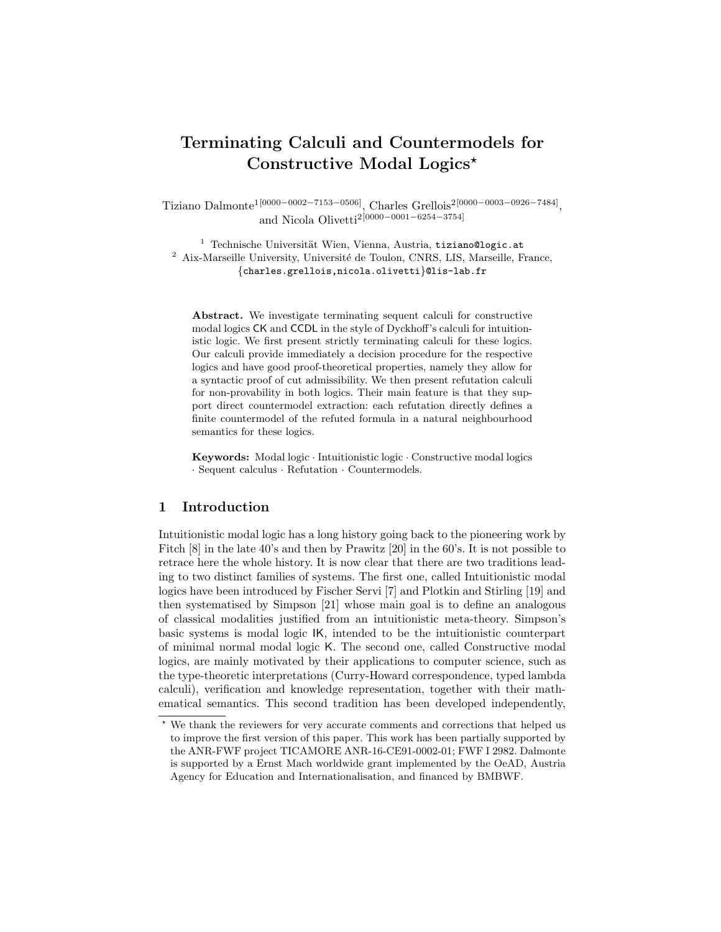# Terminating Calculi and Countermodels for Constructive Modal Logics\*

Tiziano Dalmonte<sup>1[0000–0002–7153–0506]</sup>, Charles Grellois<sup>2[0000–0003–0926–7484]</sup>, and Nicola Olivetti2[0000−0001−6254−3754]

 $1$  Technische Universität Wien, Vienna, Austria, tiziano@logic.at Aix-Marseille University, Université de Toulon, CNRS, LIS, Marseille, France, {charles.grellois,nicola.olivetti}@lis-lab.fr

Abstract. We investigate terminating sequent calculi for constructive modal logics CK and CCDL in the style of Dyckhoff's calculi for intuitionistic logic. We first present strictly terminating calculi for these logics. Our calculi provide immediately a decision procedure for the respective logics and have good proof-theoretical properties, namely they allow for a syntactic proof of cut admissibility. We then present refutation calculi for non-provability in both logics. Their main feature is that they support direct countermodel extraction: each refutation directly defines a finite countermodel of the refuted formula in a natural neighbourhood semantics for these logics.

Keywords: Modal logic · Intuitionistic logic · Constructive modal logics · Sequent calculus · Refutation · Countermodels.

# 1 Introduction

Intuitionistic modal logic has a long history going back to the pioneering work by Fitch [8] in the late 40's and then by Prawitz [20] in the 60's. It is not possible to retrace here the whole history. It is now clear that there are two traditions leading to two distinct families of systems. The first one, called Intuitionistic modal logics have been introduced by Fischer Servi [7] and Plotkin and Stirling [19] and then systematised by Simpson [21] whose main goal is to define an analogous of classical modalities justified from an intuitionistic meta-theory. Simpson's basic systems is modal logic IK, intended to be the intuitionistic counterpart of minimal normal modal logic K. The second one, called Constructive modal logics, are mainly motivated by their applications to computer science, such as the type-theoretic interpretations (Curry-Howard correspondence, typed lambda calculi), verification and knowledge representation, together with their mathematical semantics. This second tradition has been developed independently,

<sup>?</sup> We thank the reviewers for very accurate comments and corrections that helped us to improve the first version of this paper. This work has been partially supported by the ANR-FWF project TICAMORE ANR-16-CE91-0002-01; FWF I 2982. Dalmonte is supported by a Ernst Mach worldwide grant implemented by the OeAD, Austria Agency for Education and Internationalisation, and financed by BMBWF.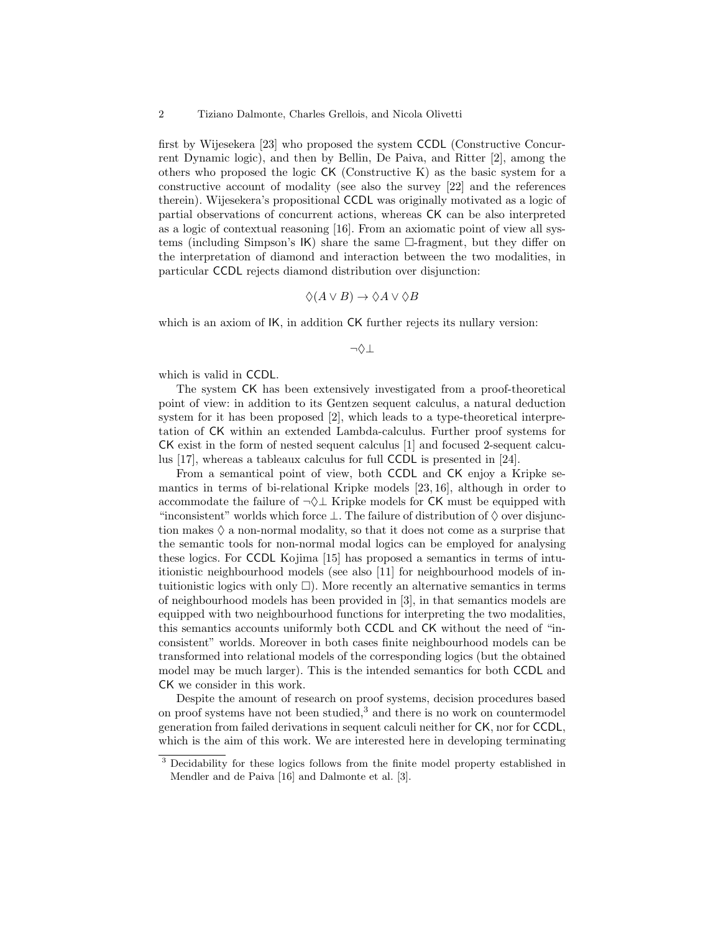first by Wijesekera [23] who proposed the system CCDL (Constructive Concurrent Dynamic logic), and then by Bellin, De Paiva, and Ritter [2], among the others who proposed the logic CK (Constructive K) as the basic system for a constructive account of modality (see also the survey [22] and the references therein). Wijesekera's propositional CCDL was originally motivated as a logic of partial observations of concurrent actions, whereas CK can be also interpreted as a logic of contextual reasoning [16]. From an axiomatic point of view all systems (including Simpson's  $|K\rangle$  share the same  $\Box$ -fragment, but they differ on the interpretation of diamond and interaction between the two modalities, in particular CCDL rejects diamond distribution over disjunction:

$$
\Diamond(A \lor B) \to \Diamond A \lor \Diamond B
$$

which is an axiom of  $IK$ , in addition CK further rejects its nullary version:

¬♦⊥

which is valid in CCDL.

The system CK has been extensively investigated from a proof-theoretical point of view: in addition to its Gentzen sequent calculus, a natural deduction system for it has been proposed [2], which leads to a type-theoretical interpretation of CK within an extended Lambda-calculus. Further proof systems for CK exist in the form of nested sequent calculus [1] and focused 2-sequent calculus [17], whereas a tableaux calculus for full CCDL is presented in [24].

From a semantical point of view, both CCDL and CK enjoy a Kripke semantics in terms of bi-relational Kripke models [23, 16], although in order to accommodate the failure of  $\neg \Diamond \bot$  Kripke models for CK must be equipped with "inconsistent" worlds which force  $\perp$ . The failure of distribution of  $\diamond$  over disjunction makes  $\Diamond$  a non-normal modality, so that it does not come as a surprise that the semantic tools for non-normal modal logics can be employed for analysing these logics. For CCDL Kojima [15] has proposed a semantics in terms of intuitionistic neighbourhood models (see also [11] for neighbourhood models of intuitionistic logics with only  $\square$ ). More recently an alternative semantics in terms of neighbourhood models has been provided in [3], in that semantics models are equipped with two neighbourhood functions for interpreting the two modalities, this semantics accounts uniformly both CCDL and CK without the need of "inconsistent" worlds. Moreover in both cases finite neighbourhood models can be transformed into relational models of the corresponding logics (but the obtained model may be much larger). This is the intended semantics for both CCDL and CK we consider in this work.

Despite the amount of research on proof systems, decision procedures based on proof systems have not been studied,<sup>3</sup> and there is no work on countermodel generation from failed derivations in sequent calculi neither for CK, nor for CCDL, which is the aim of this work. We are interested here in developing terminating

<sup>&</sup>lt;sup>3</sup> Decidability for these logics follows from the finite model property established in Mendler and de Paiva [16] and Dalmonte et al. [3].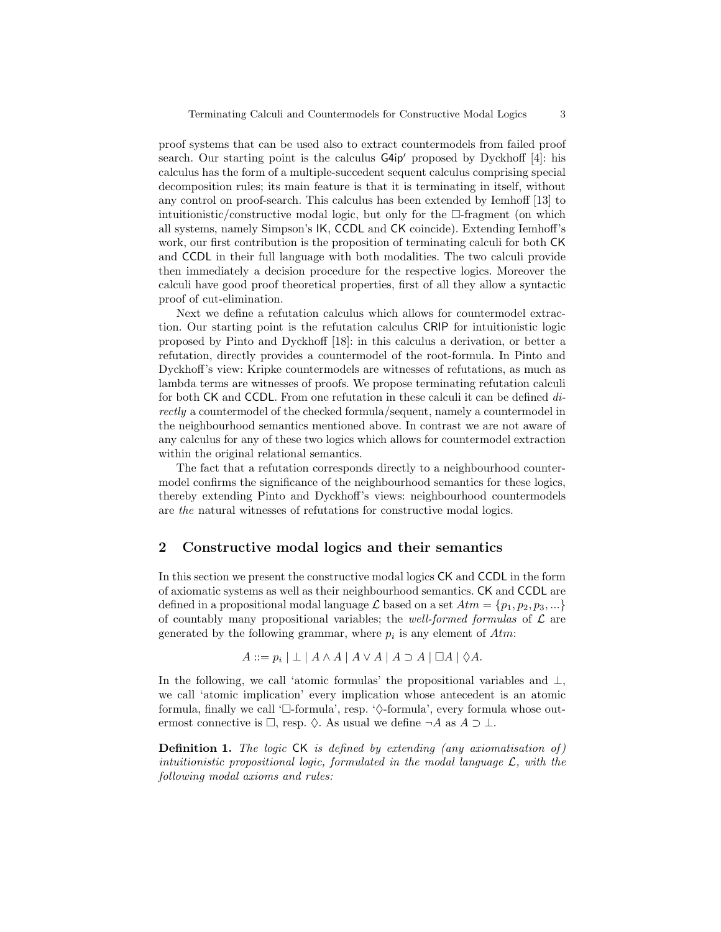proof systems that can be used also to extract countermodels from failed proof search. Our starting point is the calculus  $G4ip'$  proposed by Dyckhoff [4]: his calculus has the form of a multiple-succedent sequent calculus comprising special decomposition rules; its main feature is that it is terminating in itself, without any control on proof-search. This calculus has been extended by Iemhoff [13] to intuitionistic/constructive modal logic, but only for the  $\Box$ -fragment (on which all systems, namely Simpson's IK, CCDL and CK coincide). Extending Iemhoff's work, our first contribution is the proposition of terminating calculi for both CK and CCDL in their full language with both modalities. The two calculi provide then immediately a decision procedure for the respective logics. Moreover the calculi have good proof theoretical properties, first of all they allow a syntactic proof of cut-elimination.

Next we define a refutation calculus which allows for countermodel extraction. Our starting point is the refutation calculus CRIP for intuitionistic logic proposed by Pinto and Dyckhoff [18]: in this calculus a derivation, or better a refutation, directly provides a countermodel of the root-formula. In Pinto and Dyckhoff's view: Kripke countermodels are witnesses of refutations, as much as lambda terms are witnesses of proofs. We propose terminating refutation calculi for both CK and CCDL. From one refutation in these calculi it can be defined directly a countermodel of the checked formula/sequent, namely a countermodel in the neighbourhood semantics mentioned above. In contrast we are not aware of any calculus for any of these two logics which allows for countermodel extraction within the original relational semantics.

The fact that a refutation corresponds directly to a neighbourhood countermodel confirms the significance of the neighbourhood semantics for these logics, thereby extending Pinto and Dyckhoff's views: neighbourhood countermodels are the natural witnesses of refutations for constructive modal logics.

## 2 Constructive modal logics and their semantics

In this section we present the constructive modal logics CK and CCDL in the form of axiomatic systems as well as their neighbourhood semantics. CK and CCDL are defined in a propositional modal language  $\mathcal L$  based on a set  $Atm = \{p_1, p_2, p_3, ...\}$ of countably many propositional variables; the well-formed formulas of  $\mathcal L$  are generated by the following grammar, where  $p_i$  is any element of  $Atm$ :

$$
A ::= p_i | \perp | A \wedge A | A \vee A | A \supset A | \Box A | \Diamond A.
$$

In the following, we call 'atomic formulas' the propositional variables and  $\perp$ , we call 'atomic implication' every implication whose antecedent is an atomic formula, finally we call ' $\Box$ -formula', resp. ' $\diamond$ -formula', every formula whose outermost connective is  $\Box$ , resp.  $\Diamond$ . As usual we define  $\neg A$  as  $A \supset \bot$ .

**Definition 1.** The logic  $CK$  is defined by extending (any axiomatisation of) intuitionistic propositional logic, formulated in the modal language  $\mathcal{L}$ , with the following modal axioms and rules: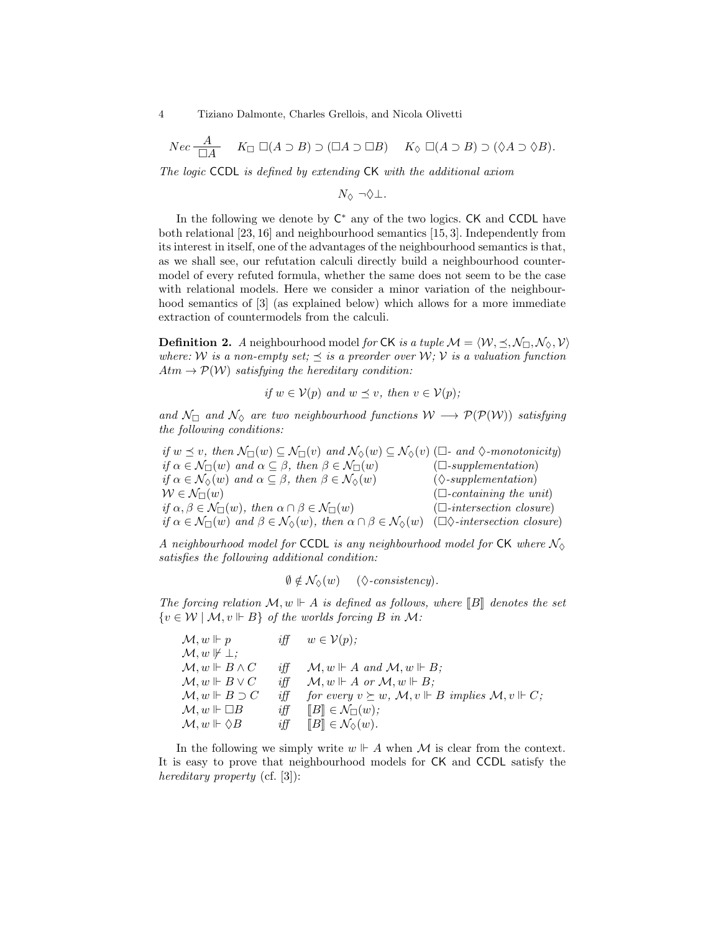$$
Nec \frac{A}{\Box A} \quad K_{\Box} \Box (A \supset B) \supset (\Box A \supset \Box B) \quad K_{\Diamond} \Box (A \supset B) \supset (\Diamond A \supset \Diamond B).
$$

The logic CCDL is defined by extending CK with the additional axiom

 $N$   $\sim$   $\neg \Diamond$  ⊥.

In the following we denote by  $C^*$  any of the two logics.  $CK$  and  $CCDL$  have both relational [23, 16] and neighbourhood semantics [15, 3]. Independently from its interest in itself, one of the advantages of the neighbourhood semantics is that, as we shall see, our refutation calculi directly build a neighbourhood countermodel of every refuted formula, whether the same does not seem to be the case with relational models. Here we consider a minor variation of the neighbourhood semantics of [3] (as explained below) which allows for a more immediate extraction of countermodels from the calculi.

**Definition 2.** A neighbourhood model for CK is a tuple  $\mathcal{M} = \langle \mathcal{W}, \preceq, \mathcal{N}_{\Box}, \mathcal{N}_{\Diamond}, \mathcal{V} \rangle$ where: W is a non-empty set;  $\preceq$  is a preorder over W; V is a valuation function  $Atm \rightarrow \mathcal{P}(\mathcal{W})$  satisfying the hereditary condition:

if 
$$
w \in V(p)
$$
 and  $w \preceq v$ , then  $v \in V(p)$ ;

and  $\mathcal{N}_{\Box}$  and  $\mathcal{N}_{\Diamond}$  are two neighbourhood functions  $\mathcal{W}\longrightarrow \mathcal{P}(\mathcal{P}(\mathcal{W}))$  satisfying the following conditions:

if  $w \preceq v$ , then  $\mathcal{N}_{\Box}(w) \subseteq \mathcal{N}_{\Box}(v)$  and  $\mathcal{N}_{\Diamond}(w) \subseteq \mathcal{N}_{\Diamond}(v)$  ( $\Box$ - and  $\Diamond$ -monotonicity) if  $\alpha \in \mathcal{N}_{\Box}(w)$  and  $\alpha \subseteq \beta$ , then  $\beta \in \mathcal{N}_{\Box}(w)$  ( $\Box$ -supplementation)  $if \alpha \in \mathcal{N}_{\Diamond}(w) \text{ and } \alpha \subseteq \beta, \text{ then } \beta \in \mathcal{N}_{\Diamond}(w) \qquad (\Diamond \text{-supplementation})$  $W \in \mathcal{N}_{\Box}(w)$  ( $\Box$ -containing the unit)  $if \alpha, \beta \in \mathcal{N}_{\square}(w), \ then \ \alpha \cap \beta \in \mathcal{N}_{\square}(w)$  ( $\square$ -intersection closure) if  $\alpha \in \mathcal{N}_{\Box}(w)$  and  $\beta \in \mathcal{N}_{\Diamond}(w)$ , then  $\alpha \cap \beta \in \mathcal{N}_{\Diamond}(w)$  ( $\Box \Diamond$ -intersection closure)

A neighbourhood model for CCDL is any neighbourhood model for CK where  $\mathcal{N}_{\Diamond}$ satisfies the following additional condition:

$$
\emptyset \notin \mathcal{N}_{\Diamond}(w) \quad (\Diamond\text{-}consistency).
$$

The forcing relation  $\mathcal{M}, w \Vdash A$  is defined as follows, where  $\llbracket B \rrbracket$  denotes the set  ${v \in \mathcal{W} \mid \mathcal{M}, v \Vdash B}$  of the worlds forcing B in M:

| $\mathcal{M}, w \Vdash p$           | $i$ ff         | $w \in V(p);$                                                                           |
|-------------------------------------|----------------|-----------------------------------------------------------------------------------------|
| $\mathcal{M}, w \not\Vdash \bot$ :  |                |                                                                                         |
| $\mathcal{M}, w \Vdash B \wedge C$  | $i \ddot{\pi}$ | $\mathcal{M}, w \Vdash A$ and $\mathcal{M}, w \Vdash B$ ;                               |
| $\mathcal{M}, w \Vdash B \vee C$    | iff            | $\mathcal{M}, w \Vdash A$ or $\mathcal{M}, w \Vdash B$ :                                |
| $\mathcal{M}, w \Vdash B \supset C$ | iff            | for every $v \succeq w$ , $\mathcal{M}, v \Vdash B$ implies $\mathcal{M}, v \Vdash C$ ; |
| $\mathcal{M}, w \Vdash \Box B$      | iff            | $  B   \in \mathcal{N}_{\square}(w);$                                                   |
| $\mathcal{M}, w \Vdash \Diamond B$  | iff            | $\llbracket B \rrbracket \in \mathcal{N}_{\Diamond}(w).$                                |
|                                     |                |                                                                                         |

In the following we simply write  $w \Vdash A$  when M is clear from the context. It is easy to prove that neighbourhood models for CK and CCDL satisfy the hereditary property (cf. [3]):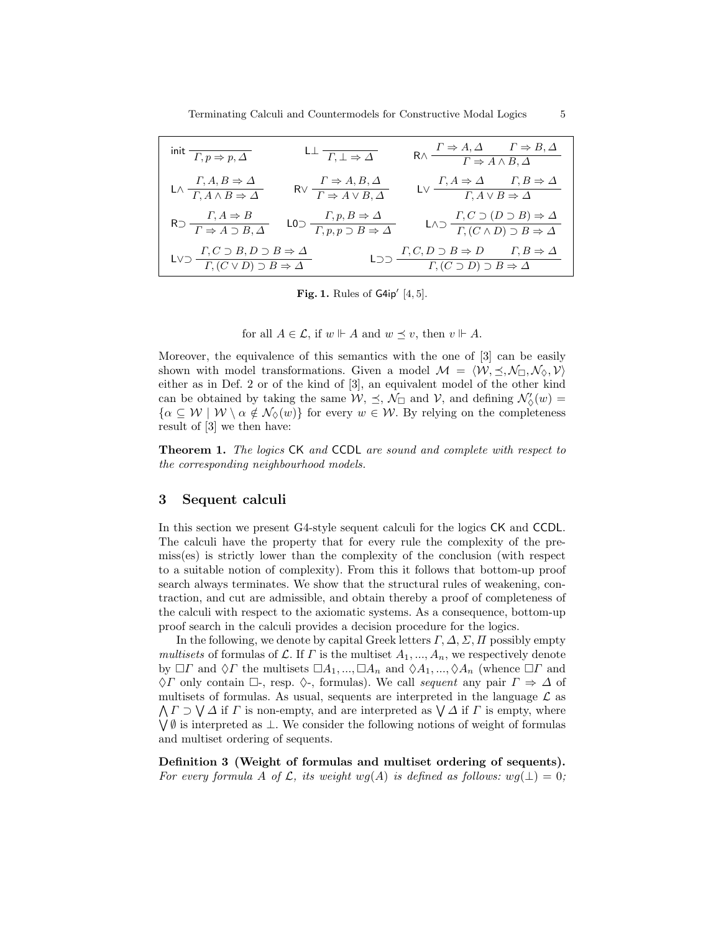| init $\boxed{\Gamma, p \Rightarrow p, \Delta}$                                                                    | $L \perp \frac{T}{L} \rightarrow \Delta$                                                                                                                                          | $R \wedge \frac{\Gamma \Rightarrow A, \Delta \qquad \Gamma \Rightarrow B, \Delta}{\Gamma \Rightarrow A \wedge B, \Delta}$ |
|-------------------------------------------------------------------------------------------------------------------|-----------------------------------------------------------------------------------------------------------------------------------------------------------------------------------|---------------------------------------------------------------------------------------------------------------------------|
| $\mathsf{L}\wedge \frac{\varGamma, A,B\Rightarrow\varDelta}{\varGamma, A\wedge B\Rightarrow\varDelta}$            | $R \vee \frac{\Gamma \Rightarrow A, B, \Delta}{\Gamma \Rightarrow A \vee B, \Delta}$                                                                                              | $\mathsf{LV}\xrightarrow{\Gamma,A\Rightarrow\varDelta}\xrightarrow{\Gamma,B\Rightarrow\varDelta}\mathsf{LV}$              |
|                                                                                                                   | $R \supset \frac{\Gamma, A \Rightarrow B}{\Gamma \Rightarrow A \supset B, \Delta}$ $L0 \supset \frac{\Gamma, p, B \Rightarrow \Delta}{\Gamma, p, p \supset B \Rightarrow \Delta}$ | LAD $\frac{\Gamma(C \supset (D \supset B) \Rightarrow \Delta}{\Gamma(C \wedge D) \supset B \Rightarrow \Delta}$           |
| LVD $\frac{\Gamma, C \supset B, D \supset B \Rightarrow \Delta}{\Gamma, (C \vee D) \supset B \Rightarrow \Delta}$ |                                                                                                                                                                                   | LDD $\frac{\Gamma, C, D \supset B \Rightarrow D}{\Gamma, (C \supset D) \supset B \Rightarrow \Delta}$                     |

Fig. 1. Rules of  $G4ip'$   $[4, 5]$ .

for all  $A \in \mathcal{L}$ , if  $w \Vdash A$  and  $w \preceq v$ , then  $v \Vdash A$ .

Moreover, the equivalence of this semantics with the one of [3] can be easily shown with model transformations. Given a model  $\mathcal{M} = \langle \mathcal{W}, \preceq, \mathcal{N}_{\square}, \mathcal{N}_{\Diamond}, \mathcal{V} \rangle$ either as in Def. 2 or of the kind of [3], an equivalent model of the other kind can be obtained by taking the same  $W, \leq, \mathcal{N}_{\Box}$  and  $V$ , and defining  $\mathcal{N}'_{\Diamond}(w) =$  $\{\alpha \subseteq W \mid W \setminus \alpha \notin \mathcal{N}_{\Diamond}(w)\}\$ for every  $w \in W$ . By relying on the completeness result of [3] we then have:

Theorem 1. The logics CK and CCDL are sound and complete with respect to the corresponding neighbourhood models.

# 3 Sequent calculi

In this section we present G4-style sequent calculi for the logics CK and CCDL. The calculi have the property that for every rule the complexity of the premiss(es) is strictly lower than the complexity of the conclusion (with respect to a suitable notion of complexity). From this it follows that bottom-up proof search always terminates. We show that the structural rules of weakening, contraction, and cut are admissible, and obtain thereby a proof of completeness of the calculi with respect to the axiomatic systems. As a consequence, bottom-up proof search in the calculi provides a decision procedure for the logics.

In the following, we denote by capital Greek letters  $\Gamma$ ,  $\Delta$ ,  $\Sigma$ ,  $\Pi$  possibly empty multisets of formulas of L. If  $\Gamma$  is the multiset  $A_1, ..., A_n$ , we respectively denote by  $\Box \Gamma$  and  $\Diamond \Gamma$  the multisets  $\Box A_1, ..., \Box A_n$  and  $\Diamond A_1, ..., \Diamond A_n$  (whence  $\Box \Gamma$  and  $\Diamond \Gamma$  only contain  $\Box$ -, resp.  $\Diamond$ -, formulas). We call sequent any pair  $\Gamma \Rightarrow \Delta$  of multisets of formulas. As usual, sequents are interpreted in the language  $\mathcal L$  as  $\bigwedge \Gamma \supset \bigvee \Delta$  if  $\Gamma$  is non-empty, and are interpreted as  $\bigvee \Delta$  if  $\Gamma$  is empty, where W ∅ is interpreted as ⊥. We consider the following notions of weight of formulas and multiset ordering of sequents.

Definition 3 (Weight of formulas and multiset ordering of sequents). For every formula A of L, its weight wg(A) is defined as follows:  $wg(\perp) = 0$ ;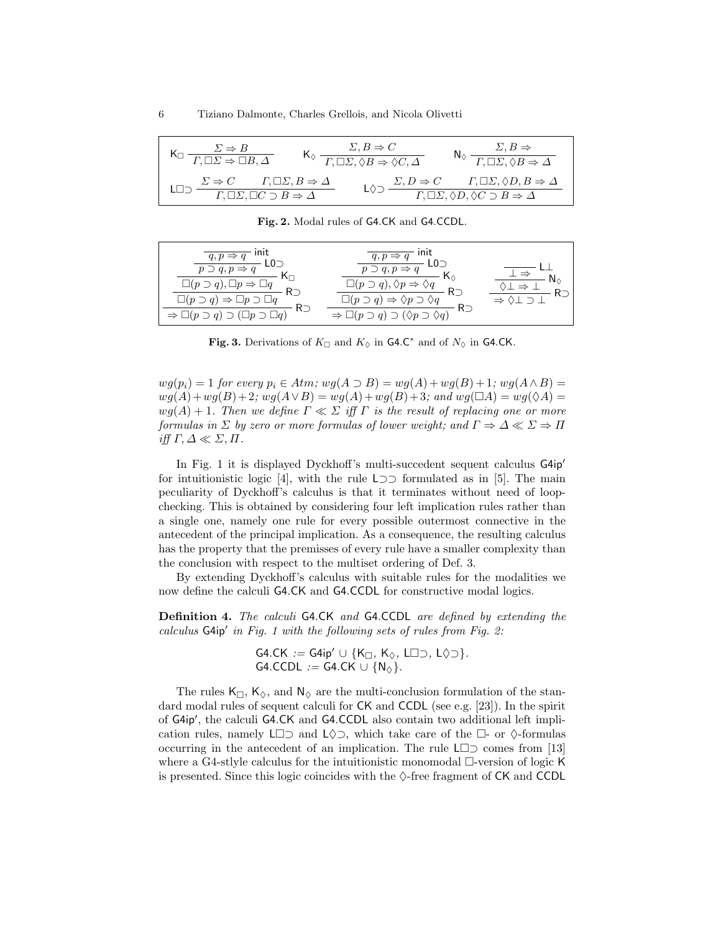| $\Sigma \Rightarrow B$<br>$\overline{\Gamma,\Box\Sigma \Rightarrow \Box B,\Delta}$                                                        | $\Sigma, B \Rightarrow C$<br>$\Gamma, \Box\Sigma, \Diamond B \Rightarrow \Diamond C, \Delta$ | $\Sigma, B \Rightarrow$<br>$N_{\odot}$<br>$\overline{\Gamma, \Box \Sigma, \Diamond B \Rightarrow \Delta}$                                                            |
|-------------------------------------------------------------------------------------------------------------------------------------------|----------------------------------------------------------------------------------------------|----------------------------------------------------------------------------------------------------------------------------------------------------------------------|
| $\Sigma \Rightarrow C$<br>$\Gamma,\Box\Sigma,B\Rightarrow\Delta$<br>$\overline{\Gamma, \Box \Sigma, \Box C \supset B \Rightarrow \Delta}$ | $\sum, D \Rightarrow C$                                                                      | $\frac{\wedge C \qquad \Gamma, \Box \varSigma, \Diamond D, B \Rightarrow \varDelta}{\Gamma, \Box \varSigma, \Diamond D, \Diamond C \supset B \Rightarrow \varDelta}$ |

Fig. 2. Modal rules of G4.CK and G4.CCDL.

| ınıt<br>$q, p \Rightarrow q$<br>L0D<br>$p \supset q, p \Rightarrow q$<br>K⊓<br>$\Box(p \supset q), \Box p \Rightarrow \Box$<br>$\Box(p \supset q) \Rightarrow \Box p \supset \Box q$<br>$R^-$<br>$\Rightarrow \Box(p \supset q) \supset (\Box p \supset \Box q)$ | ınıt<br>$q, p \Rightarrow q$<br>$L0 \supset$<br>$p \supset q, p \Rightarrow$<br>K.<br>$\Box(p \supset q), \Diamond p \Rightarrow$<br>$\Box(p \supset q) \Rightarrow \Diamond p \supset \Diamond q$<br>Rつ<br>$\Rightarrow \Box(p \supset q) \supset (\Diamond p \supset \Diamond q)$ |  |
|------------------------------------------------------------------------------------------------------------------------------------------------------------------------------------------------------------------------------------------------------------------|-------------------------------------------------------------------------------------------------------------------------------------------------------------------------------------------------------------------------------------------------------------------------------------|--|
|                                                                                                                                                                                                                                                                  |                                                                                                                                                                                                                                                                                     |  |

Fig. 3. Derivations of  $K_{\Box}$  and  $K_{\Diamond}$  in G4.C<sup>\*</sup> and of  $N_{\Diamond}$  in G4.CK.

 $wg(p_i) = 1$  for every  $p_i \in Atm$ ;  $wg(A \supset B) = wg(A) + wg(B) + 1$ ;  $wg(A \wedge B) =$  $wg(A)+wg(B)+2;$   $wg(A\vee B)=wg(A)+wg(B)+3;$  and  $wg(\Box A)=wg(\Diamond A)=$  $wg(A) + 1$ . Then we define  $\Gamma \ll \Sigma$  iff  $\Gamma$  is the result of replacing one or more formulas in  $\Sigma$  by zero or more formulas of lower weight; and  $\Gamma \Rightarrow \Delta \ll \Sigma \Rightarrow \Pi$ iff  $\Gamma, \Delta \ll \Sigma, \Pi$ .

In Fig. 1 it is displayed Dyckhoff's multi-succedent sequent calculus  $G4ip'$ for intuitionistic logic [4], with the rule L⊃⊃ formulated as in [5]. The main peculiarity of Dyckhoff's calculus is that it terminates without need of loopchecking. This is obtained by considering four left implication rules rather than a single one, namely one rule for every possible outermost connective in the antecedent of the principal implication. As a consequence, the resulting calculus has the property that the premisses of every rule have a smaller complexity than the conclusion with respect to the multiset ordering of Def. 3.

By extending Dyckhoff's calculus with suitable rules for the modalities we now define the calculi G4.CK and G4.CCDL for constructive modal logics.

Definition 4. The calculi G4.CK and G4.CCDL are defined by extending the  $calculus$  G4ip' in Fig. 1 with the following sets of rules from Fig. 2:

> $G4.CK := G4ip' \cup \{K_{\Box}, K_{\Diamond}, L\Box \supset, L\Diamond \supset\}.$ G4.CCDL := G4.CK  $\cup \{N_{\odot}\}.$

The rules  $K_{\Box}$ ,  $K_{\Diamond}$ , and  $N_{\Diamond}$  are the multi-conclusion formulation of the standard modal rules of sequent calculi for CK and CCDL (see e.g. [23]). In the spirit of G4ip', the calculi G4.CK and G4.CCDL also contain two additional left implication rules, namely L $\Box$  and L $\Diamond$ , which take care of the  $\Box$ - or  $\Diamond$ -formulas occurring in the antecedent of an implication. The rule L⊃ comes from [13] where a G4-stlyle calculus for the intuitionistic monomodal  $\Box$ -version of logic K is presented. Since this logic coincides with the  $\Diamond$ -free fragment of CK and CCDL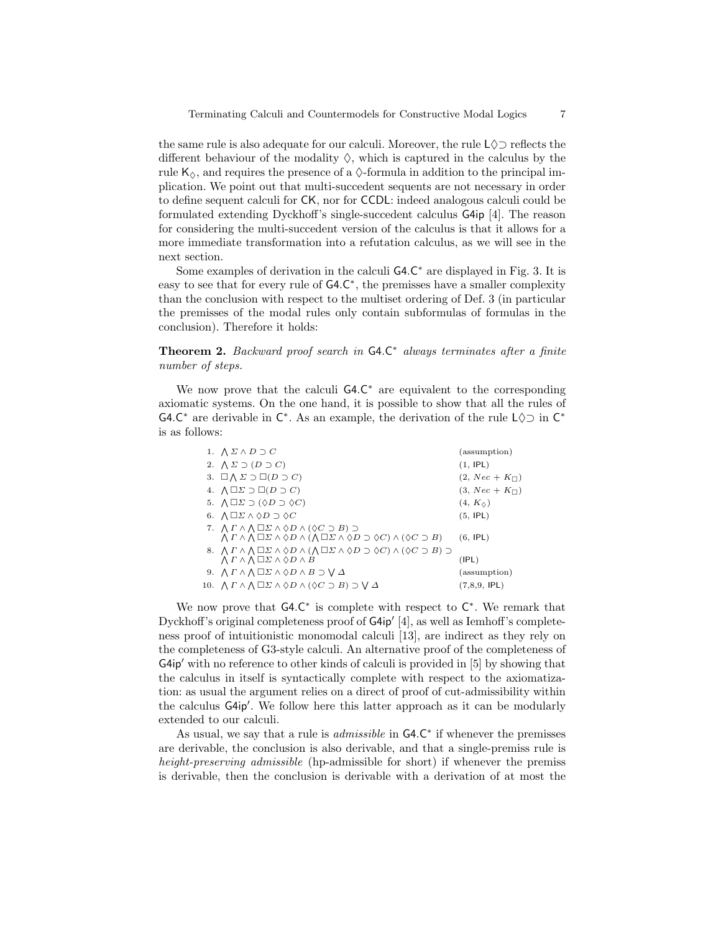the same rule is also adequate for our calculi. Moreover, the rule  $\mathsf{L}\Diamond\supset\mathsf{reflects}$  the different behaviour of the modality  $\Diamond$ , which is captured in the calculus by the rule  $K_{\diamond}$ , and requires the presence of a  $\diamond$ -formula in addition to the principal implication. We point out that multi-succedent sequents are not necessary in order to define sequent calculi for CK, nor for CCDL: indeed analogous calculi could be formulated extending Dyckhoff's single-succedent calculus G4ip [4]. The reason for considering the multi-succedent version of the calculus is that it allows for a more immediate transformation into a refutation calculus, as we will see in the next section.

Some examples of derivation in the calculi G4.C<sup>\*</sup> are displayed in Fig. 3. It is easy to see that for every rule of  $G4.C^*$ , the premisses have a smaller complexity than the conclusion with respect to the multiset ordering of Def. 3 (in particular the premisses of the modal rules only contain subformulas of formulas in the conclusion). Therefore it holds:

**Theorem 2.** Backward proof search in  $G4.C^*$  always terminates after a finite number of steps.

We now prove that the calculi G4.C <sup>∗</sup> are equivalent to the corresponding axiomatic systems. On the one hand, it is possible to show that all the rules of G4.C<sup>\*</sup> are derivable in  $\mathsf{C}^*$ . As an example, the derivation of the rule  $\mathsf{L}\Diamond\supset$  in  $\mathsf{C}^*$ is as follows:

| 1. $\bigwedge \Sigma \wedge D \supset C$                                                                                                                                             | (assumption)             |
|--------------------------------------------------------------------------------------------------------------------------------------------------------------------------------------|--------------------------|
| 2. $\Lambda \Sigma \supset (D \supset C)$                                                                                                                                            | (1, IPL)                 |
| 3. $\Box \wedge \Sigma \supset \Box (D \supset C)$                                                                                                                                   | $(2, Nec + K_{\square})$ |
| 4. $\bigwedge \Box \Sigma \supset \Box (D \supset C)$                                                                                                                                | $(3, Nec + K\Box)$       |
| 5. $\bigwedge \Box \Sigma \supset (\Diamond D \supset \Diamond C)$                                                                                                                   | $(4, K_{\diamond})$      |
| 6. $\bigwedge \Box \Sigma \wedge \Diamond D \supset \Diamond C$                                                                                                                      | (5, IPL)                 |
| 7. $\Lambda \Gamma \wedge \Lambda \square \Sigma \wedge \lozenge D \wedge (\lozenge C \supset B) \supset$                                                                            |                          |
| $\bigwedge \Gamma \wedge \bigwedge \Box \Sigma \wedge \Diamond D \wedge (\bigwedge \Box \Sigma \wedge \Diamond D \supset \Diamond C) \wedge (\Diamond C \supset B)$                  | (6, IPL)                 |
| 8. $\bigwedge \Gamma \wedge \bigwedge \square \Sigma \wedge \lozenge D \wedge (\bigwedge \square \Sigma \wedge \lozenge D \supset \lozenge C) \wedge (\lozenge C \supset B) \supset$ |                          |
| $\bigwedge \Gamma \wedge \bigwedge \square \Sigma \wedge \lozenge D \wedge B$                                                                                                        | (IPL)                    |
| 9. $\Lambda \Gamma \wedge \Lambda \square \Sigma \wedge \lozenge D \wedge B \supset \bigvee \Delta$                                                                                  | (assumption)             |
| 10. $\bigwedge \Gamma \wedge \bigwedge \Box \Sigma \wedge \Diamond D \wedge (\Diamond C \supset B) \supset \bigvee \Delta$                                                           | $(7,8,9,$ IPL)           |
|                                                                                                                                                                                      |                          |

We now prove that  $G4.C^*$  is complete with respect to  $C^*$ . We remark that Dyckhoff's original completeness proof of  $G4ip'$  [4], as well as Iemhoff's completeness proof of intuitionistic monomodal calculi [13], are indirect as they rely on the completeness of G3-style calculi. An alternative proof of the completeness of  $G4ip'$  with no reference to other kinds of calculi is provided in [5] by showing that the calculus in itself is syntactically complete with respect to the axiomatization: as usual the argument relies on a direct of proof of cut-admissibility within the calculus G4ip'. We follow here this latter approach as it can be modularly extended to our calculi.

As usual, we say that a rule is  $admissible$  in  $G4.C^*$  if whenever the premisses are derivable, the conclusion is also derivable, and that a single-premiss rule is height-preserving admissible (hp-admissible for short) if whenever the premiss is derivable, then the conclusion is derivable with a derivation of at most the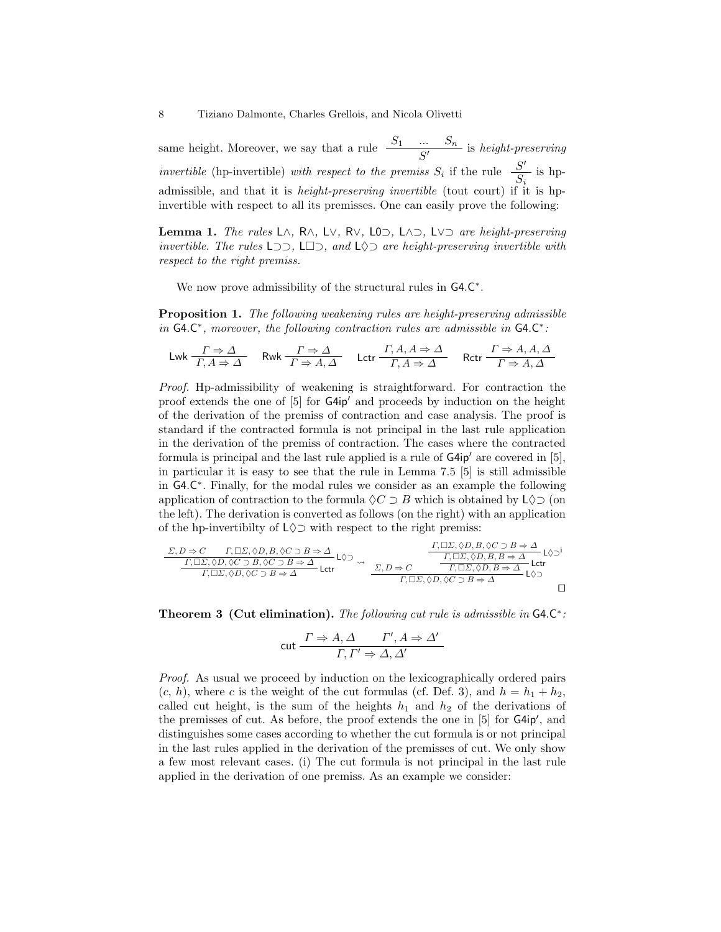same height. Moreover, we say that a rule  $\frac{S_1 \cdots S_n}{S'}$  is height-preserving *invertible* (hp-invertible) with respect to the premiss  $S_i$  if the rule  $\frac{S'}{S}$  $rac{\beta}{S_i}$  is hpadmissible, and that it is height-preserving invertible (tout court) if it is hpinvertible with respect to all its premisses. One can easily prove the following:

Lemma 1. The rules L∧, R∧, L∨, R∨, L0⊃, L∧⊃, L∨⊃ are height-preserving invertible. The rules  $L$  ⊃  $\supset$ ,  $L \supset$ , and  $L \Diamond$  are height-preserving invertible with respect to the right premiss.

We now prove admissibility of the structural rules in G4.C<sup>\*</sup>.

Proposition 1. The following weakening rules are height-preserving admissible in  $G4.C^*$ , moreover, the following contraction rules are admissible in  $G4.C^*$ :

$$
\mathsf{Lwk} \xrightarrow[\Gamma, A \Rightarrow \Delta]{\Gamma \Rightarrow \Delta} \quad \mathsf{Rwk} \xrightarrow[\Gamma \Rightarrow A, \Delta]{\Gamma \Rightarrow \Delta} \quad \mathsf{Lctr} \xrightarrow[\Gamma, A, A \Rightarrow \Delta]{\Gamma, A, A \Rightarrow \Delta} \quad \mathsf{Rctr} \xrightarrow[\Gamma \Rightarrow A, A, \Delta]{\Gamma \Rightarrow \Delta} \quad \mathsf{Rctr}
$$

Proof. Hp-admissibility of weakening is straightforward. For contraction the proof extends the one of  $[5]$  for  $G4ip'$  and proceeds by induction on the height of the derivation of the premiss of contraction and case analysis. The proof is standard if the contracted formula is not principal in the last rule application in the derivation of the premiss of contraction. The cases where the contracted formula is principal and the last rule applied is a rule of  $G4ip'$  are covered in [5], in particular it is easy to see that the rule in Lemma 7.5 [5] is still admissible in G4.C ∗ . Finally, for the modal rules we consider as an example the following application of contraction to the formula  $\Diamond C \supset B$  which is obtained by L $\Diamond \supset$  (on the left). The derivation is converted as follows (on the right) with an application of the hp-invertibilty of  $L \Diamond \supset$  with respect to the right premiss:

$$
\frac{\Sigma, D \Rightarrow C \qquad \Gamma, \Box \Sigma, \Diamond D, B, \Diamond C \supset B \Rightarrow \Delta}{\begin{array}{c} \Gamma, \Box \Sigma, \Diamond D, B, \Diamond C \supset B \Rightarrow \Delta \\ \hline \Gamma, \Box \Sigma, \Diamond D, \Diamond C \supset B, \Diamond C \supset B \Rightarrow \Delta \\ \hline \Gamma, \Box \Sigma, \Diamond D, \Diamond C \supset B \Rightarrow \Delta \end{array}} \text{LQ} \rightarrow \frac{\begin{array}{c} \Gamma, \Box \Sigma, \Diamond D, B, \Diamond C \supset B \Rightarrow \Delta \\ \hline \Gamma, \Box \Sigma, \Diamond D, B, B \Rightarrow \Delta \\ \hline \Gamma, \Box \Sigma, \Diamond D, B \Rightarrow \Delta \end{array}}{\begin{array}{c} \Gamma, \Box \Sigma, \Diamond D, B, B \Rightarrow \Delta \\ \hline \Gamma, \Box \Sigma, \Diamond D, B \Rightarrow \Delta \\ \hline \Gamma, \Box \Sigma, \Diamond D, \Diamond C \supset B \Rightarrow \Delta \end{array}} \text{LQ} \rightarrow \frac{\begin{array}{c} \Gamma, \Box \Sigma, \Diamond D, B, \Diamond C \supset B \Rightarrow \Delta \\ \hline \Gamma, \Box \Sigma, \Diamond D, B, B \Rightarrow \Delta \\ \hline \Gamma, \Box \Sigma, \Diamond D, B \Rightarrow \Delta \end{array}}{\begin{array}{c} \Gamma, \Box \Sigma, \Diamond D, B \Rightarrow \Delta \\ \hline \Gamma, \Box \Sigma, \Diamond D, B \Rightarrow \Delta \\ \hline \Gamma, \Box \Sigma, \Diamond D, B \Rightarrow \Delta \end{array}} \text{LQ}
$$

Theorem 3 (Cut elimination). The following cut rule is admissible in  $G4.C^*$ :

$$
\text{cut} \frac{\Gamma \Rightarrow A, \Delta \qquad \Gamma', A \Rightarrow \Delta'}{\Gamma, \Gamma' \Rightarrow \Delta, \Delta'}
$$

Proof. As usual we proceed by induction on the lexicographically ordered pairs  $(c, h)$ , where c is the weight of the cut formulas (cf. Def. 3), and  $h = h_1 + h_2$ , called cut height, is the sum of the heights  $h_1$  and  $h_2$  of the derivations of the premisses of cut. As before, the proof extends the one in [5] for G4ip', and distinguishes some cases according to whether the cut formula is or not principal in the last rules applied in the derivation of the premisses of cut. We only show a few most relevant cases. (i) The cut formula is not principal in the last rule applied in the derivation of one premiss. As an example we consider: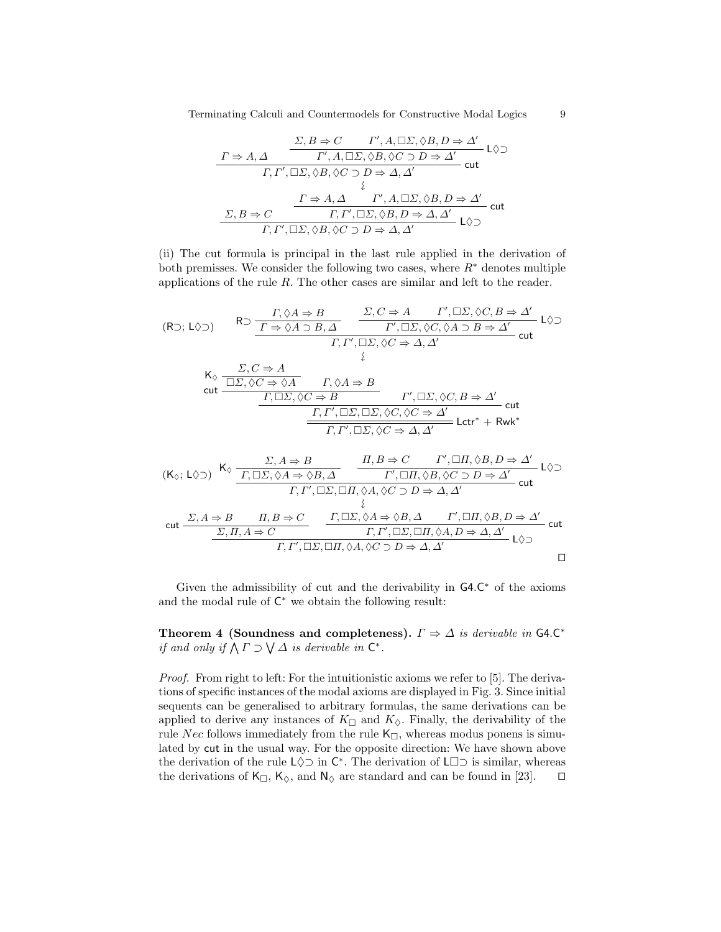Terminating Calculi and Countermodels for Constructive Modal Logics 9

$$
\frac{\Sigma, B \Rightarrow C \qquad \Gamma', A, \Box \Sigma, \Diamond B, D \Rightarrow \Delta'}{\Gamma, \Gamma', \Box \Sigma, \Diamond B, \Diamond C \supset D \Rightarrow \Delta'} \text{ L} \Diamond \Box
$$
\n
$$
\frac{\Gamma, \Gamma', \Box \Sigma, \Diamond B, \Diamond C \supset D \Rightarrow \Delta, \Delta'}{\{ \atop \vdots \atop \Gamma, \Gamma', \Box \Sigma, \Diamond B, \Diamond C \supset D \Rightarrow \Delta, \Delta' \atop \Gamma, \Gamma', \Box \Sigma, \Diamond B, D \Rightarrow \Delta, \Delta'} \text{ cut}
$$
\n
$$
\frac{\Sigma, B \Rightarrow C \qquad \frac{\Gamma \Rightarrow A, \Delta \qquad \Gamma', A, \Box \Sigma, \Diamond B, D \Rightarrow \Delta'}{\Gamma, \Gamma', \Box \Sigma, \Diamond B, \Diamond C \supset D \Rightarrow \Delta, \Delta'} \text{ L} \Diamond \Box
$$

(ii) The cut formula is principal in the last rule applied in the derivation of both premisses. We consider the following two cases, where  $R^*$  denotes multiple applications of the rule R. The other cases are similar and left to the reader.

(R<sub>D</sub>; L
$$
\Diamond
$$
)  
\nR<sub>D</sub>  $\frac{\Gamma, \Diamond A \Rightarrow B}{\Gamma \Rightarrow \Diamond A \supset B, \Delta}$   $\frac{\Sigma, C \Rightarrow A \qquad \Gamma', \Box \Sigma, \Diamond C, B \Rightarrow \Delta'}{\Gamma', \Box \Sigma, \Diamond C, \Diamond A \supset B \Rightarrow \Delta'}$  L $\Diamond \Box$   
\n $\Gamma, \Gamma', \Box \Sigma, \Diamond C \Rightarrow \Delta, \Delta'$   
\n $\frac{\Sigma, C \Rightarrow A}{\bot}$   
\ncut  
\n $\frac{\Gamma, \Box \Sigma, \Diamond C \Rightarrow \Diamond A \qquad \Gamma, \Diamond A \Rightarrow B}{\Gamma, \Box \Sigma, \Diamond C \Rightarrow B}$   
\n $\frac{\Gamma', \Box \Sigma, \Diamond C, B \Rightarrow \Delta'}{\Gamma, \Gamma', \Box \Sigma, \Box \Sigma, \Diamond C, \Diamond C \Rightarrow \Delta'}$   
\ncut  
\n $\frac{\Gamma, \Gamma', \Box \Sigma, \Box \Sigma, \Diamond C, \Diamond C \Rightarrow \Delta'}{\Gamma, \Gamma', \Box \Sigma, \Diamond C \Rightarrow \Delta, \Delta'}$  Lctr<sup>\*</sup> + Rwk\*

$$
\begin{array}{llll} & K_{\Diamond}; \ L \Diamond \supset) & K_{\Diamond} & \frac{\Sigma, A \Rightarrow B}{\displaystyle \frac{\Gamma, \Box \Sigma, \Diamond A \Rightarrow \Diamond B, \Delta}{\Gamma', \Box \Pi, \Diamond B, \Diamond C \supset D \Rightarrow \Delta'}} & \frac{\Gamma', \Box \Pi, \Diamond B, D \Rightarrow \Delta'}{\Gamma, \Gamma', \Box \Sigma, \Box \Pi, \Diamond A, \Diamond C \supset D \Rightarrow \Delta'} \text{ cut} \\ & \frac{\Sigma, A \Rightarrow B & \Pi, B \Rightarrow C}{\Diamond \Sigma, \Pi, A \Rightarrow C} & \frac{\Gamma, \Box \Sigma, \Diamond A \Rightarrow \Diamond B, \Delta}{\Gamma, \Gamma', \Box \Sigma, \Box \Pi, \Diamond A, D \Rightarrow \Delta, \Delta'} & \frac{\Gamma, \Box \Gamma, \Diamond B, D \Rightarrow \Delta'}{\Gamma, \Gamma', \Box \Sigma, \Box \Pi, \Diamond A, D \Rightarrow \Delta, \Delta'} & \text{cut} \\ & \frac{\Sigma, \Pi, A \Rightarrow C}{\Gamma, \Gamma', \Box \Sigma, \Box \Pi, \Diamond A, \Diamond C \supset D \Rightarrow \Delta, \Delta'} & \text{cut} \end{array}
$$

Given the admissibility of cut and the derivability in  $G4.C^*$  of the axioms and the modal rule of  $C^*$  we obtain the following result:

Theorem 4 (Soundness and completeness).  $\Gamma \Rightarrow \Delta$  is derivable in G4.C<sup>\*</sup> if and only if  $\bigwedge \Gamma \supset \bigvee \Delta$  is derivable in  $\mathsf{C}^*$ .

Proof. From right to left: For the intuitionistic axioms we refer to [5]. The derivations of specific instances of the modal axioms are displayed in Fig. 3. Since initial sequents can be generalised to arbitrary formulas, the same derivations can be applied to derive any instances of  $K_{\Box}$  and  $K_{\Diamond}$ . Finally, the derivability of the rule Nec follows immediately from the rule  $K_{\Box}$ , whereas modus ponens is simulated by cut in the usual way. For the opposite direction: We have shown above the derivation of the rule  $L \Diamond \supset$  in  $C^*$ . The derivation of  $L \Box \supset$  is similar, whereas the derivations of  $K_{\Box}$ ,  $K_{\Diamond}$ , and  $N_{\Diamond}$  are standard and can be found in [23].  $\Box$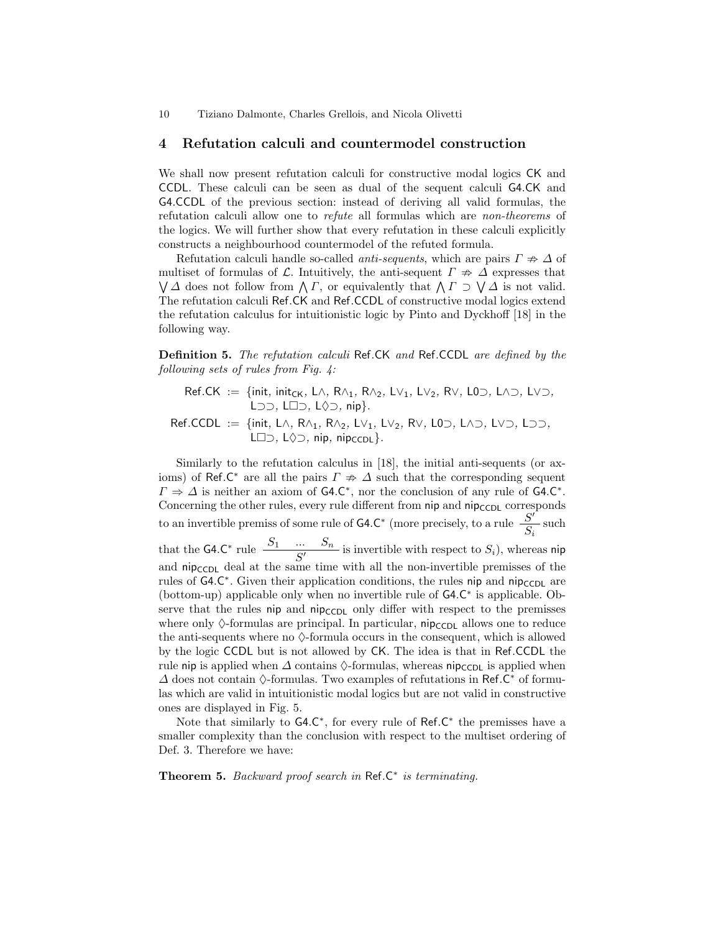## 4 Refutation calculi and countermodel construction

We shall now present refutation calculi for constructive modal logics CK and CCDL. These calculi can be seen as dual of the sequent calculi G4.CK and G4.CCDL of the previous section: instead of deriving all valid formulas, the refutation calculi allow one to refute all formulas which are non-theorems of the logics. We will further show that every refutation in these calculi explicitly constructs a neighbourhood countermodel of the refuted formula.

Refutation calculi handle so-called *anti-sequents*, which are pairs  $\Gamma \neq \Delta$  of multiset of formulas of L. Intuitively, the anti-sequent  $\Gamma \nRightarrow \Delta$  expresses that  $\bigvee \Delta$  does not follow from  $\bigwedge \Gamma$ , or equivalently that  $\bigwedge \Gamma \supset \bigvee \Delta$  is not valid. The refutation calculi Ref.CK and Ref.CCDL of constructive modal logics extend the refutation calculus for intuitionistic logic by Pinto and Dyckhoff [18] in the following way.

Definition 5. The refutation calculi Ref.CK and Ref.CCDL are defined by the following sets of rules from Fig. 4:

 $\mathsf{Ref.CK} := \{ \mathsf{init}, \, \mathsf{init}_{\mathsf{CK}}, \, \mathsf{L}\wedge, \, \mathsf{R}\wedge_1, \, \mathsf{R}\wedge_2, \, \mathsf{L}\vee_1, \, \mathsf{L}\vee_2, \, \mathsf{R}\vee, \, \mathsf{L}\mathsf{0}\supset, \, \mathsf{L}\wedge\supset, \, \mathsf{L}\vee\supset,$ L<sub>⊃</sub>, L<sub>D</sub>, L $\Diamond$ <sub>2</sub>, nip}.

Ref.CCDL := {init, L∧, R∧1, R∧2, L∨1, L∨2, R∨, L0⊃, L∧⊃, L∨⊃, L⊃⊃, L $\Box$  $\supset$ , L $\Diamond$  $\supset$ , nip, nipcc<sub>DL</sub>}.

Similarly to the refutation calculus in [18], the initial anti-sequents (or axioms) of Ref.C<sup>\*</sup> are all the pairs  $\Gamma \neq \Delta$  such that the corresponding sequent  $\Gamma \Rightarrow \Delta$  is neither an axiom of G4.C<sup>\*</sup>, nor the conclusion of any rule of G4.C<sup>\*</sup>. Concerning the other rules, every rule different from  $\pi$ ip and  $\pi$ ip<sub>CCDL</sub> corresponds to an invertible premiss of some rule of  $G4.C^*$  (more precisely, to a rule  $\frac{S'}{S}$  $\frac{\partial}{\partial s_i}$  such that the G4.C<sup>\*</sup> rule  $\frac{S_1 \cdots S_n}{S'}$  is invertible with respect to  $S_i$ ), whereas nip and  $\text{nip}_\text{CCDL}$  deal at the same time with all the non-invertible premisses of the rules of G4.C<sup>\*</sup>. Given their application conditions, the rules nip and nip<sub>CCDL</sub> are (bottom-up) applicable only when no invertible rule of G4.C<sup>∗</sup> is applicable. Observe that the rules nip and  $\pi$ ip<sub>CCDL</sub> only differ with respect to the premisses where only  $\Diamond$ -formulas are principal. In particular, nip<sub>CCDL</sub> allows one to reduce the anti-sequents where no  $\Diamond$ -formula occurs in the consequent, which is allowed by the logic CCDL but is not allowed by CK. The idea is that in Ref.CCDL the rule nip is applied when  $\Delta$  contains  $\Diamond$ -formulas, whereas nip<sub>CCDL</sub> is applied when  $\Delta$  does not contain  $\Diamond$ -formulas. Two examples of refutations in Ref.C<sup>\*</sup> of formulas which are valid in intuitionistic modal logics but are not valid in constructive ones are displayed in Fig. 5.

Note that similarly to  $G4.C^*$ , for every rule of Ref.C<sup>\*</sup> the premisses have a smaller complexity than the conclusion with respect to the multiset ordering of Def. 3. Therefore we have:

Theorem 5. Backward proof search in  $\mathsf{Ref}.\mathsf{C}^*$  is terminating.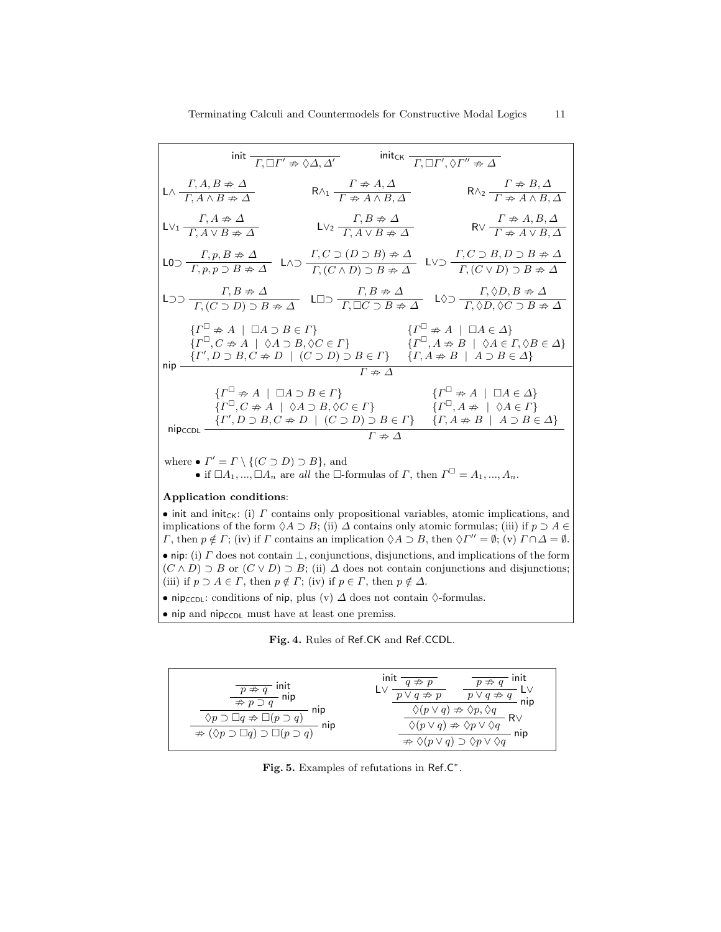|         | init $\overline{\Gamma, \Box \Gamma' \nRightarrow \Diamond \Delta, \Delta'}$                                                                                   |                                                                                               | init <sub>CK</sub> $\overline{\Gamma, \Box \Gamma', \Diamond \Gamma'' \neq \Delta}$                                                                                                                                                                                                                                                                                       |
|---------|----------------------------------------------------------------------------------------------------------------------------------------------------------------|-----------------------------------------------------------------------------------------------|---------------------------------------------------------------------------------------------------------------------------------------------------------------------------------------------------------------------------------------------------------------------------------------------------------------------------------------------------------------------------|
|         | $L \wedge \frac{\Gamma, A, B \neq \Delta}{\Gamma, A \wedge B \neq \Delta}$                                                                                     | $R \wedge_1 \frac{I^{\prime} \nRightarrow A, \Delta}{\Gamma \nRightarrow A \wedge B, \Delta}$ | $R \wedge_2 \frac{I \nRightarrow B, \Delta}{\Gamma \nRightarrow A \wedge B, \Delta}$                                                                                                                                                                                                                                                                                      |
|         | $L \vee_1 \frac{\Gamma, A \neq \Delta}{\Gamma, A \vee B \neq \Delta}$                                                                                          | $\mathsf{LV}_2 \frac{\Gamma, B \neq \Delta}{\Gamma, A \vee B \neq \Delta}$                    | $R \vee \frac{\Gamma \nRightarrow A, B, \Delta}{\Gamma \nRightarrow A \vee B, \Delta}$                                                                                                                                                                                                                                                                                    |
|         |                                                                                                                                                                |                                                                                               | $LO \supset \frac{\Gamma, p, B \nRightarrow \Delta}{\Gamma, p, p \supset B \nRightarrow \Delta} \quad L \wedge \supset \frac{\Gamma, C \supset (D \supset B) \nRightarrow \Delta}{\Gamma, (C \wedge D) \supset B \nRightarrow \Delta} \quad L \vee \supset \frac{\Gamma, C \supset B, D \supset B \nRightarrow \Delta}{\Gamma, (C \vee D) \supset B \nRightarrow \Delta}$ |
|         |                                                                                                                                                                |                                                                                               | $L \supset \supset \frac{\Gamma, B \neq \Delta}{\Gamma, (C \supset D) \supset B \neq \Delta}$ $L \supset \frac{\Gamma, B \neq \Delta}{\Gamma, \Box C \supset B \neq \Delta}$ $L \diamondsuit \supset \frac{\Gamma, \diamondsuit D, B \neq \Delta}{\Gamma, \diamondsuit D, \diamondsuit C \supset B \neq \Delta}$                                                          |
|         | $\{\Gamma^{\square} \neq A \mid \square A \supset B \in \Gamma\}$<br>$\{\Gamma^{\square}, C \nRightarrow A \mid \Diamond A \supset B, \Diamond C \in \Gamma\}$ |                                                                                               | $\{\Gamma^{\sqcup}\nRightarrow A\mid \Box A\in\Delta\}$<br>$\{\Gamma^{\square}, A \neq B \mid \Diamond A \in \Gamma, \Diamond B \in \Delta\}$<br>$\text{nip } \frac{\{I', D \supset B, C \nRightarrow D \mid (C \supset D) \supset B \in \Gamma\} \{I, A \nRightarrow B \mid A \supset B \in \Delta\}}{\Gamma}$                                                           |
|         |                                                                                                                                                                | $\varGamma\nRightarrow\varDelta$                                                              |                                                                                                                                                                                                                                                                                                                                                                           |
| nipccpL | ${T^{\sqcup}\neq A \mid \Box A \supset B \in \Gamma}$                                                                                                          | $\{\Gamma^{\sqcup}, C \nRightarrow A \mid \Diamond A \supset B, \Diamond C \in \Gamma\}$      | $\{\Gamma^{\sqcup}\nRightarrow A\mid \Box A\in\Delta\}$<br>$\{\Gamma^{\square}, A \neq \emptyset \, \phi A \in \Gamma\}$<br>$\{ \varGamma', D\supset B, C\not\Rightarrow D\ \mid\ (C\supset D)\supset B\in\varGamma\}\qquad \{ \varGamma, A\not\Rightarrow B\ \mid\ A\supset B\in\varDelta\}$                                                                             |
|         |                                                                                                                                                                | $\Gamma \not\Rightarrow \Delta$                                                               |                                                                                                                                                                                                                                                                                                                                                                           |

where  $\bullet$   $\Gamma' = \Gamma \setminus \{ (C \supset D) \supset B \}$ , and

• if  $\Box A_1, ..., \Box A_n$  are all the  $\Box$ -formulas of  $\Gamma$ , then  $\Gamma^{\Box} = A_1, ..., A_n$ .

#### Application conditions:

• init and init<sub>CK</sub>: (i)  $\Gamma$  contains only propositional variables, atomic implications, and implications of the form  $\Diamond A \supset B$ ; (ii)  $\Delta$  contains only atomic formulas; (iii) if  $p \supset A \in$ *Γ*, then  $p \notin \Gamma$ ; (iv) if *Γ* contains an implication  $\Diamond A \supset B$ , then  $\Diamond \Gamma'' = \emptyset$ ; (v)  $\Gamma \cap \Delta = \emptyset$ . • nip: (i)  $\Gamma$  does not contain  $\bot$ , conjunctions, disjunctions, and implications of the form  $(C \wedge D) \supseteq B$  or  $(C \vee D) \supseteq B$ ; (ii)  $\Delta$  does not contain conjunctions and disjunctions; (iii) if  $p \supset A \in \Gamma$ , then  $p \notin \Gamma$ ; (iv) if  $p \in \Gamma$ , then  $p \notin \Delta$ .

• nip<sub>CCDL</sub>: conditions of nip, plus (v)  $\Delta$  does not contain  $\Diamond$ -formulas.

• nip and nip<sub>CCDL</sub> must have at least one premiss.

Fig. 4. Rules of Ref.CK and Ref.CCDL.



Fig. 5. Examples of refutations in Ref.C\*.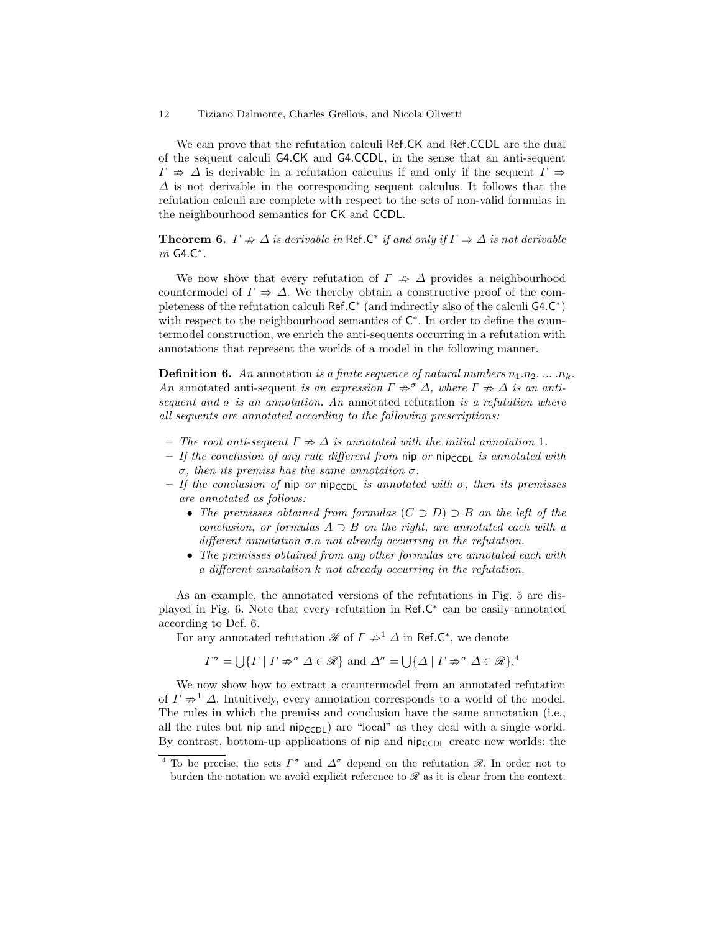We can prove that the refutation calculi Ref.CK and Ref.CCDL are the dual of the sequent calculi G4.CK and G4.CCDL, in the sense that an anti-sequent  $\Gamma \Rightarrow \Delta$  is derivable in a refutation calculus if and only if the sequent  $\Gamma \Rightarrow$  $\Delta$  is not derivable in the corresponding sequent calculus. It follows that the refutation calculi are complete with respect to the sets of non-valid formulas in the neighbourhood semantics for CK and CCDL.

**Theorem 6.**  $\Gamma \neq \Delta$  is derivable in Ref.C<sup>\*</sup> if and only if  $\Gamma \Rightarrow \Delta$  is not derivable in G4.C ∗ .

We now show that every refutation of  $\Gamma \nRightarrow \Delta$  provides a neighbourhood countermodel of  $\Gamma \Rightarrow \Delta$ . We thereby obtain a constructive proof of the completeness of the refutation calculi  $\text{Ref.C}^*$  (and indirectly also of the calculi  $\text{G4.C}^*$ ) with respect to the neighbourhood semantics of  $\mathsf{C}^*$ . In order to define the countermodel construction, we enrich the anti-sequents occurring in a refutation with annotations that represent the worlds of a model in the following manner.

**Definition 6.** An annotation is a finite sequence of natural numbers  $n_1 \n_2 \nldots \n_n_k$ . An annotated anti-sequent is an expression  $\Gamma \not\Rightarrow^{\sigma} \Delta$ , where  $\Gamma \not\Rightarrow \Delta$  is an antisequent and  $\sigma$  is an annotation. An annotated refutation is a refutation where all sequents are annotated according to the following prescriptions:

- The root anti-sequent  $\Gamma \not\Rightarrow \Delta$  is annotated with the initial annotation 1.
- If the conclusion of any rule different from  $\pi$  nipcosition is annotated with σ, then its premiss has the same annotation σ.
- If the conclusion of nip or nipccpl is annotated with  $\sigma$ , then its premisses are annotated as follows:
	- The premisses obtained from formulas  $(C \supset D) \supset B$  on the left of the conclusion, or formulas  $A \supset B$  on the right, are annotated each with a different annotation  $\sigma$ .n not already occurring in the refutation.
	- The premisses obtained from any other formulas are annotated each with a different annotation k not already occurring in the refutation.

As an example, the annotated versions of the refutations in Fig. 5 are displayed in Fig. 6. Note that every refutation in Ref.C<sup>\*</sup> can be easily annotated according to Def. 6.

For any annotated refutation  $\mathscr R$  of  $\Gamma \not\Rightarrow^1 \Delta$  in Ref.C<sup>\*</sup>, we denote

$$
\Gamma^{\sigma} = \bigcup \{ \Gamma \mid \Gamma \nRightarrow^{\sigma} \Delta \in \mathcal{R} \}
$$
 and  $\Delta^{\sigma} = \bigcup \{ \Delta \mid \Gamma \nRightarrow^{\sigma} \Delta \in \mathcal{R} \}.$ <sup>4</sup>

We now show how to extract a countermodel from an annotated refutation of  $\Gamma \neq 1$   $\Delta$ . Intuitively, every annotation corresponds to a world of the model. The rules in which the premiss and conclusion have the same annotation (i.e., all the rules but nip and nip<sub>CCDL</sub>) are "local" as they deal with a single world. By contrast, bottom-up applications of nip and  $nip_{\text{CCDL}}$  create new worlds: the

<sup>&</sup>lt;sup>4</sup> To be precise, the sets  $\Gamma^{\sigma}$  and  $\Delta^{\sigma}$  depend on the refutation  $\mathscr{R}$ . In order not to burden the notation we avoid explicit reference to  $\mathscr R$  as it is clear from the context.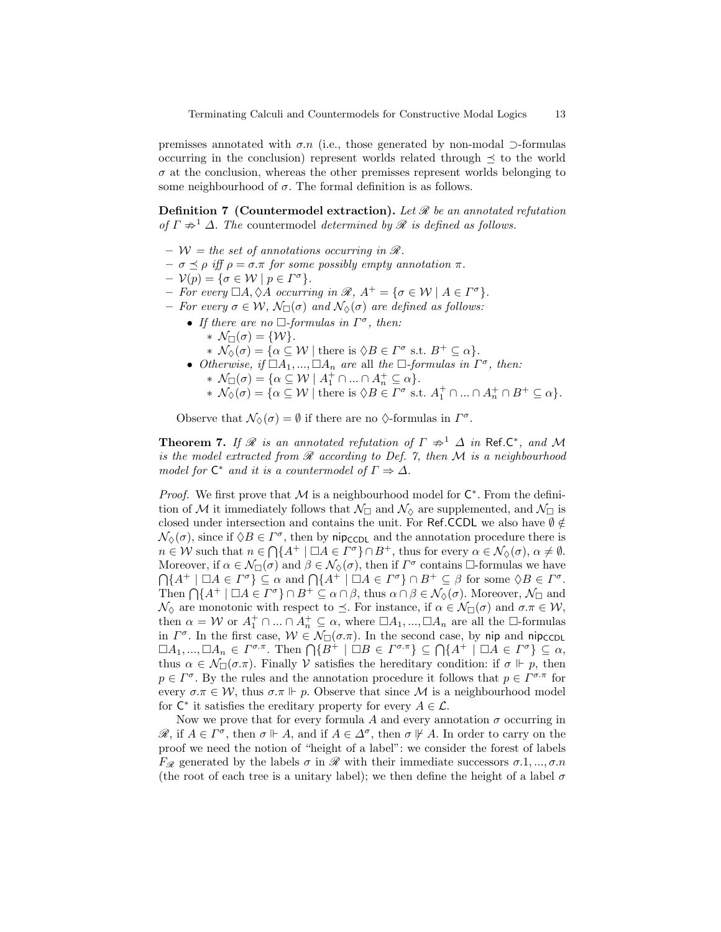premisses annotated with  $\sigma.n$  (i.e., those generated by non-modal ⊃-formulas occurring in the conclusion) represent worlds related through  $\preceq$  to the world  $\sigma$  at the conclusion, whereas the other premisses represent worlds belonging to some neighbourhood of  $\sigma$ . The formal definition is as follows.

**Definition 7** (Countermodel extraction). Let  $\mathcal{R}$  be an annotated refutation of  $\Gamma \nRightarrow^1 \Delta$ . The countermodel determined by  $\mathcal R$  is defined as follows.

- $W =$  the set of annotations occurring in  $\mathcal{R}$ .
- $\sigma \preceq \rho \text{ iff } \rho = \sigma \pi \text{ for some possibly empty annotation } \pi.$
- $-\mathcal{V}(p) = {\sigma \in \mathcal{W} \mid p \in \Gamma^{\sigma}}.$
- For every  $\Box A, \Diamond A$  occurring in  $\mathscr{R}, A^+ = {\sigma \in \mathcal{W} \mid A \in \Gamma^{\sigma}}.$
- For every  $\sigma \in \mathcal{W}$ ,  $\mathcal{N}_{\Box}(\sigma)$  and  $\mathcal{N}_{\Diamond}(\sigma)$  are defined as follows:
	- If there are no  $\Box$ -formulas in  $\Gamma^{\sigma}$ , then: \*  $\mathcal{N}_{\Box}(\sigma) = \{ \mathcal{W} \}.$ 
		- \*  $\mathcal{N}_{\Diamond}(\sigma) = {\alpha \subseteq \mathcal{W} \mid \text{there is } \Diamond B \in \Gamma^{\sigma} \text{ s.t. } B^+ \subseteq \alpha}.$
	- Otherwise, if  $\Box A_1, ..., \Box A_n$  are all the  $\Box$ -formulas in  $\Gamma^{\sigma}$ , then: \*  $\mathcal{N}_{\Box}(\sigma) = \{ \alpha \subseteq \mathcal{W} \mid A_1^+ \cap ... \cap A_n^+ \subseteq \alpha \}.$ 
		- \*  $\mathcal{N}_{\Diamond}(\sigma) = {\alpha \subseteq \mathcal{W} \mid \text{there is } \Diamond B \in \Gamma^{\sigma} \text{ s.t. } A_1^+ \cap ... \cap A_n^+ \cap B^+ \subseteq \alpha}.$

Observe that  $\mathcal{N}_{\Diamond}(\sigma) = \emptyset$  if there are no  $\Diamond$ -formulas in  $\Gamma^{\sigma}$ .

**Theorem 7.** If  $\mathcal{R}$  is an annotated refutation of  $\Gamma \not\Rightarrow^1 \Delta$  in Ref.C<sup>\*</sup>, and M is the model extracted from  $\mathcal R$  according to Def. 7, then  $\mathcal M$  is a neighbourhood model for  $\mathsf{C}^*$  and it is a countermodel of  $\Gamma \Rightarrow \Delta$ .

*Proof.* We first prove that  $M$  is a neighbourhood model for  $C^*$ . From the definition of M it immediately follows that  $\mathcal{N}_{\Box}$  and  $\mathcal{N}_{\Diamond}$  are supplemented, and  $\mathcal{N}_{\Box}$  is closed under intersection and contains the unit. For Ref.CCDL we also have  $\emptyset \notin$  $\mathcal{N}_{\Diamond}(\sigma)$ , since if  $\Diamond B \in \Gamma^{\sigma}$ , then by nip<sub>CCDL</sub> and the annotation procedure there is  $n \in \mathcal{W}$  such that  $n \in \bigcap \{A^+ \mid \Box A \in \Gamma^{\sigma}\} \cap B^+$ , thus for every  $\alpha \in \mathcal{N}_{\Diamond}(\sigma)$ ,  $\alpha \neq \emptyset$ . Moreover, if  $\alpha \in \mathcal{N}_{\Box}(\sigma)$  and  $\beta \in \mathcal{N}_{\Diamond}(\sigma)$ , then if  $\Gamma^{\sigma}$  contains  $\Box$ -formulas we have  $\bigcap \{A^+ \mid \Box A \in \Gamma^{\sigma}\}\subseteq \alpha \text{ and } \bigcap \{A^+ \mid \Box A \in \Gamma^{\sigma}\}\cap B^+ \subseteq \beta \text{ for some } \Diamond B \in \Gamma^{\sigma}.$ Then  $\bigcap \{A^+ \mid \Box A \in \Gamma^{\sigma}\} \cap B^+ \subseteq \alpha \cap \beta$ , thus  $\alpha \cap \beta \in \mathcal{N}_{\Diamond}(\sigma)$ . Moreover,  $\mathcal{N}_{\Box}$  and  $\mathcal{N}_{\Diamond}$  are monotonic with respect to  $\preceq$ . For instance, if  $\alpha \in \mathcal{N}_{\Box}(\sigma)$  and  $\sigma.\pi \in \mathcal{W},$ then  $\alpha = W$  or  $A_1^+ \cap ... \cap A_n^+ \subseteq \alpha$ , where  $\Box A_1, ..., \Box A_n$  are all the  $\Box$ -formulas in  $\Gamma^{\sigma}$ . In the first case,  $W \in \mathcal{N}_{\Box}(\sigma.\pi)$ . In the second case, by nip and nip<sub>CCDL</sub>  $\Box A_1, ..., \Box A_n \in \Gamma^{\sigma.\pi}$ . Then  $\bigcap \{B^+ \mid \Box B \in \Gamma^{\sigma.\pi}\} \subseteq \bigcap \{A^+ \mid \Box A \in \Gamma^{\sigma}\} \subseteq \alpha$ , thus  $\alpha \in \mathcal{N}_{\Box}(\sigma.\pi)$ . Finally V satisfies the hereditary condition: if  $\sigma \Vdash p$ , then  $p \in \Gamma^{\sigma}$ . By the rules and the annotation procedure it follows that  $p \in \Gamma^{\sigma,\pi}$  for every  $\sigma.\pi \in \mathcal{W}$ , thus  $\sigma.\pi \Vdash p$ . Observe that since M is a neighbourhood model for  $C^*$  it satisfies the ereditary property for every  $A \in \mathcal{L}$ .

Now we prove that for every formula A and every annotation  $\sigma$  occurring in  $\mathscr{R}$ , if  $A \in \Gamma^{\sigma}$ , then  $\sigma \Vdash A$ , and if  $A \in \Delta^{\sigma}$ , then  $\sigma \not\Vdash A$ . In order to carry on the proof we need the notion of "height of a label": we consider the forest of labels  $F_{\mathscr{R}}$  generated by the labels  $\sigma$  in  $\mathscr{R}$  with their immediate successors  $\sigma$ .1, ...,  $\sigma$ .n (the root of each tree is a unitary label); we then define the height of a label  $\sigma$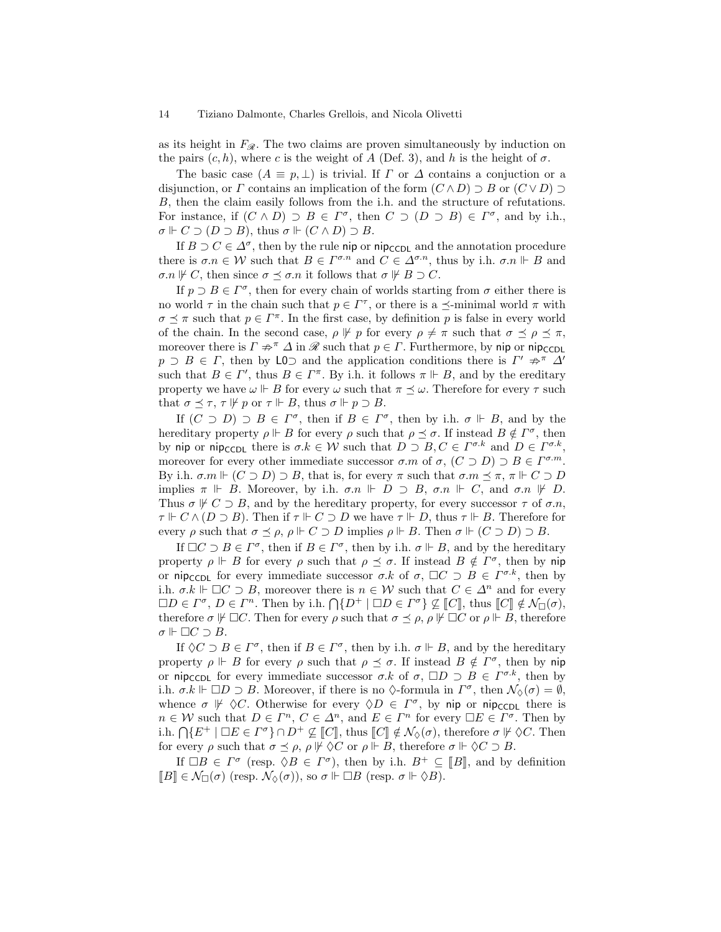as its height in  $F_{\mathscr{R}}$ . The two claims are proven simultaneously by induction on the pairs  $(c, h)$ , where c is the weight of A (Def. 3), and h is the height of  $\sigma$ .

The basic case  $(A \equiv p, \perp)$  is trivial. If  $\Gamma$  or  $\Delta$  contains a conjuction or a disjunction, or  $\Gamma$  contains an implication of the form  $(C \wedge D) \supset B$  or  $(C \vee D) \supset$ B, then the claim easily follows from the i.h. and the structure of refutations. For instance, if  $(C \wedge D) \supset B \in \Gamma^{\sigma}$ , then  $C \supset (D \supset B) \in \Gamma^{\sigma}$ , and by i.h.,  $\sigma \Vdash C \supset (D \supset B)$ , thus  $\sigma \Vdash (C \wedge D) \supset B$ .

If  $B \supset C \in \Delta^{\sigma}$ , then by the rule nip or nip<sub>CCDL</sub> and the annotation procedure there is  $\sigma.n \in \mathcal{W}$  such that  $B \in \Gamma^{\sigma.n}$  and  $C \in \Delta^{\sigma.n}$ , thus by i.h.  $\sigma.n \Vdash B$  and  $\sigma.n \not\vdash C$ , then since  $\sigma \preceq \sigma.n$  it follows that  $\sigma \not\vdash B \supset C$ .

If  $p \supset B \in \Gamma^{\sigma}$ , then for every chain of worlds starting from  $\sigma$  either there is no world  $\tau$  in the chain such that  $p \in \Gamma^{\tau}$ , or there is a  $\preceq$ -minimal world  $\pi$  with  $\sigma \preceq \pi$  such that  $p \in \Gamma^{\pi}$ . In the first case, by definition p is false in every world of the chain. In the second case,  $\rho \not\vdash p$  for every  $\rho \neq \pi$  such that  $\sigma \preceq \rho \preceq \pi$ , moreover there is  $\Gamma \nRightarrow^{\pi} \Delta$  in  $\mathscr R$  such that  $p \in \Gamma$ . Furthermore, by nip or nip<sub>CCDL</sub>  $p \supset B \in \Gamma$ , then by LO and the application conditions there is  $\Gamma' \not\Rightarrow^{\pi} \Delta'$ such that  $B \in \Gamma'$ , thus  $B \in \Gamma^{\pi}$ . By i.h. it follows  $\pi \Vdash B$ , and by the ereditary property we have  $\omega \Vdash B$  for every  $\omega$  such that  $\pi \preceq \omega$ . Therefore for every  $\tau$  such that  $\sigma \preceq \tau$ ,  $\tau \not\Vdash p$  or  $\tau \Vdash B$ , thus  $\sigma \Vdash p \supset B$ .

If  $(C \supset D) \supset B \in \Gamma^{\sigma}$ , then if  $B \in \Gamma^{\sigma}$ , then by i.h.  $\sigma \Vdash B$ , and by the hereditary property  $\rho \Vdash B$  for every  $\rho$  such that  $\rho \preceq \sigma$ . If instead  $B \notin \Gamma^{\sigma}$ , then by nip or nip<sub>CCDL</sub> there is  $\sigma.k \in \mathcal{W}$  such that  $D \supset B, C \in \Gamma^{\sigma.k}$  and  $D \in \Gamma^{\sigma.k}$ , moreover for every other immediate successor  $\sigma$  m of  $\sigma$ ,  $(C \supset D) \supset B \in \Gamma^{\sigma,m}$ . By i.h.  $\sigma.m \Vdash (C \supset D) \supset B$ , that is, for every  $\pi$  such that  $\sigma.m \preceq \pi$ ,  $\pi \Vdash C \supset D$ implies  $\pi \Vdash B$ . Moreover, by i.h.  $\sigma.n \Vdash D \supset B$ ,  $\sigma.n \Vdash C$ , and  $\sigma.n \Vdash D$ . Thus  $\sigma \not\vdash C \supset B$ , and by the hereditary property, for every successor  $\tau$  of  $\sigma.n$ ,  $\tau \Vdash C \wedge (D \supset B)$ . Then if  $\tau \Vdash C \supset D$  we have  $\tau \Vdash D$ , thus  $\tau \Vdash B$ . Therefore for every  $\rho$  such that  $\sigma \preceq \rho$ ,  $\rho \Vdash C \supset D$  implies  $\rho \Vdash B$ . Then  $\sigma \Vdash (C \supset D) \supset B$ .

If  $\Box C \supset B \in \Gamma^{\sigma}$ , then if  $B \in \Gamma^{\sigma}$ , then by i.h.  $\sigma \Vdash B$ , and by the hereditary property  $\rho \Vdash B$  for every  $\rho$  such that  $\rho \preceq \sigma$ . If instead  $B \notin \Gamma^{\sigma}$ , then by nip or nip<sub>CCDL</sub> for every immediate successor  $\sigma.k$  of  $\sigma$ ,  $\Box C \supset B \in \Gamma^{\sigma.k}$ , then by i.h.  $\sigma.k \Vdash \Box C \supset B$ , moreover there is  $n \in \mathcal{W}$  such that  $C \in \Delta^n$  and for every  $\Box D \in \Gamma^{\sigma}, D \in \Gamma^{n}$ . Then by i.h.  $\bigcap \{D^{+} \mid \Box D \in \Gamma^{\sigma}\} \nsubseteq \llbracket C \rrbracket$ , thus  $\llbracket C \rrbracket \notin \mathcal{N}_{\Box}(\sigma)$ ,<br>therefore  $\pi \nvDash \Box C$ . Then for every equal that  $\pi \prec_{\Box} \circ \mathbb{E} \mathbb{E}$ . The therefore therefore  $\sigma \not\Vdash \Box C$ . Then for every  $\rho$  such that  $\sigma \preceq \rho$ ,  $\rho \not\Vdash \Box C$  or  $\rho \Vdash B$ , therefore  $\sigma \Vdash \Box C \supset B$ .

If  $\Diamond C \supset B \in \Gamma^{\sigma}$ , then if  $B \in \Gamma^{\sigma}$ , then by i.h.  $\sigma \Vdash B$ , and by the hereditary property  $\rho \Vdash B$  for every  $\rho$  such that  $\rho \preceq \sigma$ . If instead  $B \notin \Gamma^{\sigma}$ , then by nip or nip<sub>CCDL</sub> for every immediate successor  $\sigma.k$  of  $\sigma$ ,  $\Box D \supset B \in \Gamma^{\sigma.k}$ , then by i.h.  $\sigma.k \Vdash \Box D \supset B$ . Moreover, if there is no  $\Diamond$ -formula in  $\Gamma^{\sigma}$ , then  $\mathcal{N}_{\Diamond}(\sigma) = \emptyset$ , whence  $\sigma \not\Vdash \Diamond C$ . Otherwise for every  $\Diamond D \in \Gamma^{\sigma}$ , by nip or nip<sub>CCDL</sub> there is  $n \in \mathcal{W}$  such that  $D \in \Gamma^n$ ,  $C \in \Delta^n$ , and  $E \in \Gamma^n$  for every  $\Box E \in \Gamma^{\sigma}$ . Then by i.h.  $\bigcap \{E^+ \mid \Box E \in \Gamma^{\sigma}\} \cap D^+ \nsubseteq \llbracket C \rrbracket$ , thus  $\llbracket C \rrbracket \notin \mathcal{N}_{\Diamond}(\sigma)$ , therefore  $\sigma \not\Vdash \Diamond C$ . Then<br>for every equal that  $\sigma \preceq c$ ,  $c \not\Vdash \Diamond C$  or  $c \not\Vdash R$ , therefore  $\sigma \not\Vdash \Diamond C \supseteq R$ for every  $\rho$  such that  $\sigma \preceq \rho$ ,  $\rho \not\vdash \Diamond C$  or  $\rho \Vdash B$ , therefore  $\sigma \Vdash \Diamond C \supset B$ .

If  $\Box B \in \Gamma^{\sigma}$  (resp.  $\Diamond B \in \Gamma^{\sigma}$ ), then by i.h.  $B^+ \subseteq [B]$ , and by definition  $\Box B \subseteq \Lambda_{\Box}(\sigma)$  (resp.  $\Lambda_{\Box}(\sigma)$ ) so  $\sigma \Vdash \Box B$  (resp.  $\sigma \Vdash \Diamond B$ )  $\llbracket B \rrbracket \in \mathcal{N}_{\Box}(\sigma)$  (resp.  $\mathcal{N}_{\Diamond}(\sigma)$ ), so  $\sigma \Vdash \Box B$  (resp.  $\sigma \Vdash \Diamond B$ ).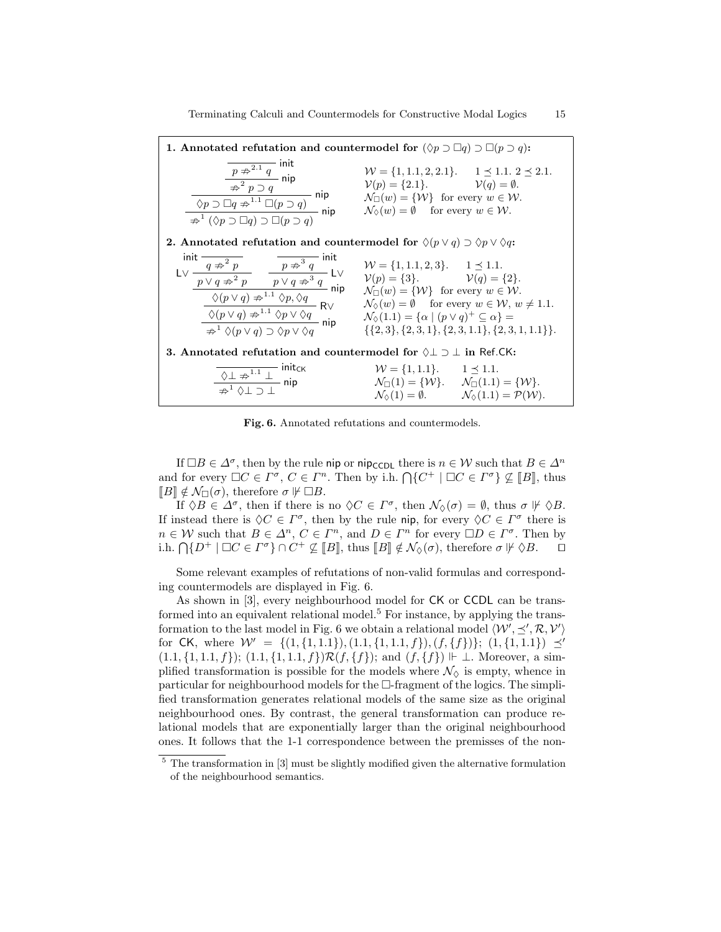| 1. Annotated refutation and countermodel for $(\Diamond p \supset \Box q) \supset \Box (p \supset q)$ :                                                                                                                                                                                                                                                                                                                                                                                                                                               |                                                                                                                                                                                                                                             |  |
|-------------------------------------------------------------------------------------------------------------------------------------------------------------------------------------------------------------------------------------------------------------------------------------------------------------------------------------------------------------------------------------------------------------------------------------------------------------------------------------------------------------------------------------------------------|---------------------------------------------------------------------------------------------------------------------------------------------------------------------------------------------------------------------------------------------|--|
| $\begin{array}{c c} \hline p \not\Rightarrow^{2.1} q \quad \text{init} \\ \hline \hline \not\Rightarrow^2 p \supset q \quad \text{nip} \\ \hline \hline \hline \varphi^2 p \supset q \quad \text{nip} \\ \hline \hline \langle \mathcal{N} p \supset \Box q \not\Rightarrow^{1.1} \Box (p \supset q) \quad \text{nip} \\ \hline \hline \hline \langle \mathcal{N} p \supset \Box q \rangle \Box (p \supset q) \quad \text{nip} \\ \hline \hline \hline \langle \mathcal{N} p \supset \Box q \rangle \supset \Box (p \supset q) \quad \text{nip} \\ \$ | $W = \{1, 1.1, 2, 2.1\}.$ $1 \leq 1.1.2 \leq 2.1.$<br>$\mathcal{V}(p) = \{2.1\}.$ $\mathcal{V}(q) = \emptyset.$<br>$\mathcal{N}_{\square}(w) = \{ \mathcal{W} \}$ for every $w \in \mathcal{W}$ .                                           |  |
| <b>2.</b> Annotated refutation and countermodel for $\Diamond(p \lor q) \supset \Diamond p \lor \Diamond q$ :                                                                                                                                                                                                                                                                                                                                                                                                                                         |                                                                                                                                                                                                                                             |  |
| $\begin{array}{llll} \text{init} & \overline{q \not\Rightarrow^2 p} & \overline{p \not\Rightarrow^3 q} & \text{init} & \mathcal{W} = \{1,1.1,2,3\}. & 1 \preceq 1.1. \\ \text{L} \vee & \overline{p \vee q \not\Rightarrow^2 p} & \overline{p \vee q \not\Rightarrow^3 q} & \text{L} \vee & \mathcal{V}(p) = \{3\}. & \mathcal{V}(q) = \{2\}. \\ \hline & \phi(p \vee q) \not\Rightarrow^{1.1} \Diamond p, \Diamond q & \text{min} & \mathcal{N}_{\square}(w) = \{\mathcal{W}\}$                                                                      | $\mathcal{N}_{\Diamond}(w) = \emptyset$ for every $w \in \mathcal{W}, w \neq 1.1$ .<br>$\{\{2,3\},\{2,3,1\},\{2,3,1.1\},\{2,3,1,1.1\}\}.$                                                                                                   |  |
| <b>3.</b> Annotated refutation and countermodel for $\Diamond \bot \supset \bot$ in Ref.CK:                                                                                                                                                                                                                                                                                                                                                                                                                                                           |                                                                                                                                                                                                                                             |  |
| $\frac{\sqrt{1 \cdot \pi^{1.1} \perp}}{\pi^1 \sqrt{1 \cdot \pi}} \frac{\text{init}_{CK}}{\text{nip}}$                                                                                                                                                                                                                                                                                                                                                                                                                                                 | $W = \{1, 1.1\}$ . $1 \le 1.1$ .<br>$\mathcal{N}_{\Box}(1) = \{ \mathcal{W} \}. \quad \mathcal{N}_{\Box}(1.1) = \{ \mathcal{W} \}.$<br>$\mathcal{N}_{\Diamond}(1) = \emptyset$ . $\mathcal{N}_{\Diamond}(1.1) = \mathcal{P}(\mathcal{W})$ . |  |

Fig. 6. Annotated refutations and countermodels.

If  $\Box B \in \Delta^{\sigma}$ , then by the rule nip or nip<sub>CCDL</sub> there is  $n \in \mathcal{W}$  such that  $B \in \Delta^{n}$ and for every  $\Box C \in \Gamma^{\sigma}$ ,  $C \in \Gamma^n$ . Then by i.h.  $\bigcap \{C^+ \mid \Box C \in \Gamma^{\sigma}\} \nsubseteq [B]$ , thus  $\Box R \not\vdash d \land \bigcap (\sigma)$ , therefore  $\sigma \not\vdash \Box R$  $\llbracket B \rrbracket \notin \mathcal{N}_{\Box}(\sigma)$ , therefore  $\sigma \not\Vdash \Box B$ .

If  $\Diamond B \in \Delta^{\sigma}$ , then if there is no  $\Diamond C \in \Gamma^{\sigma}$ , then  $\mathcal{N}_{\Diamond}(\sigma) = \emptyset$ , thus  $\sigma \not\vdash \Diamond B$ . If instead there is  $\Diamond C \in \Gamma^{\sigma}$ , then by the rule nip, for every  $\Diamond C \in \Gamma^{\sigma}$  there is  $n \in \mathcal{W}$  such that  $B \in \Delta^n$ ,  $C \in \Gamma^n$ , and  $D \in \Gamma^n$  for every  $\Box D \in \Gamma^{\sigma}$ . Then by i.h.  $\bigcap \{D^+ \mid \Box C \in \Gamma^{\sigma}\} \cap C^+ \not\subseteq [B]$ , thus  $[ B ] \notin \mathcal{N}_{\Diamond}(\sigma)$ , therefore  $\sigma \not\vdash \Diamond B$ .  $\Box$ 

Some relevant examples of refutations of non-valid formulas and corresponding countermodels are displayed in Fig. 6.

As shown in [3], every neighbourhood model for CK or CCDL can be transformed into an equivalent relational model.<sup>5</sup> For instance, by applying the transformation to the last model in Fig. 6 we obtain a relational model  $\langle W', \preceq', \mathcal{R}, \mathcal{V}' \rangle$ for CK, where  $W' = \{(1, \{1, 1.1\}), (1.1, \{1, 1.1, f\}), (f, \{f\})\}; (1, \{1, 1.1\}) \preceq'$  $(1.1, \{1, 1.1, f\})$ ;  $(1.1, \{1, 1.1, f\})\mathcal{R}(f, \{f\})$ ; and  $(f, \{f\}) \Vdash \bot$ . Moreover, a simplified transformation is possible for the models where  $\mathcal{N}_{\Diamond}$  is empty, whence in particular for neighbourhood models for the  $\Box$ -fragment of the logics. The simplified transformation generates relational models of the same size as the original neighbourhood ones. By contrast, the general transformation can produce relational models that are exponentially larger than the original neighbourhood ones. It follows that the 1-1 correspondence between the premisses of the non-

 $5$  The transformation in [3] must be slightly modified given the alternative formulation of the neighbourhood semantics.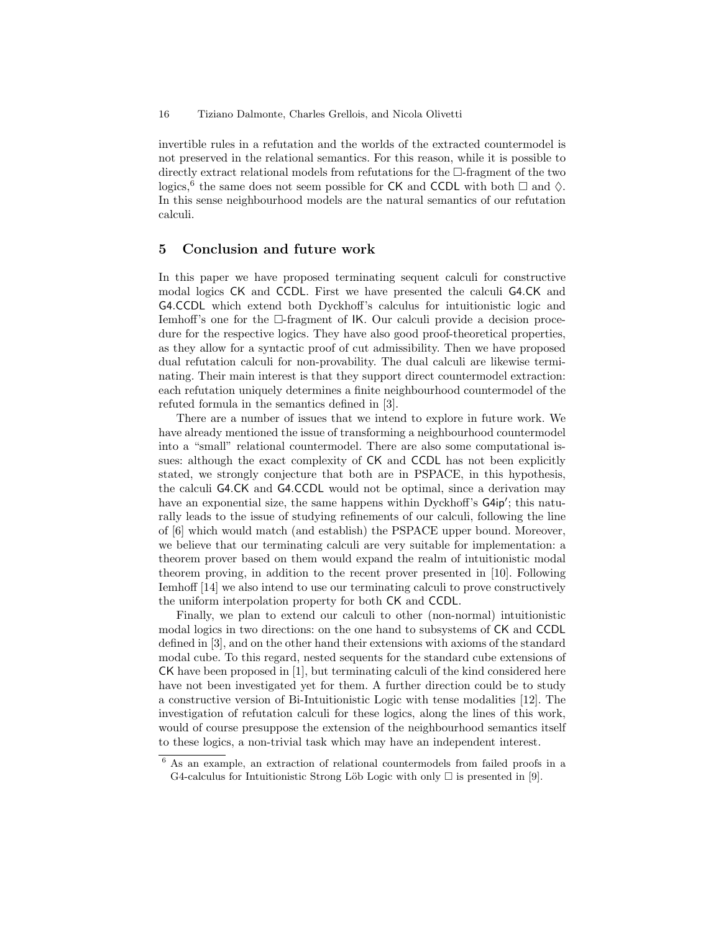invertible rules in a refutation and the worlds of the extracted countermodel is not preserved in the relational semantics. For this reason, while it is possible to directly extract relational models from refutations for the  $\Box$ -fragment of the two logics,  $\overset{6}{\circ}$  the same does not seem possible for CK and CCDL with both  $\Box$  and  $\diamond$ . In this sense neighbourhood models are the natural semantics of our refutation calculi.

# 5 Conclusion and future work

In this paper we have proposed terminating sequent calculi for constructive modal logics CK and CCDL. First we have presented the calculi G4.CK and G4.CCDL which extend both Dyckhoff's calculus for intuitionistic logic and Iemhoff's one for the  $\Box$ -fragment of IK. Our calculi provide a decision procedure for the respective logics. They have also good proof-theoretical properties, as they allow for a syntactic proof of cut admissibility. Then we have proposed dual refutation calculi for non-provability. The dual calculi are likewise terminating. Their main interest is that they support direct countermodel extraction: each refutation uniquely determines a finite neighbourhood countermodel of the refuted formula in the semantics defined in [3].

There are a number of issues that we intend to explore in future work. We have already mentioned the issue of transforming a neighbourhood countermodel into a "small" relational countermodel. There are also some computational issues: although the exact complexity of CK and CCDL has not been explicitly stated, we strongly conjecture that both are in PSPACE, in this hypothesis, the calculi G4.CK and G4.CCDL would not be optimal, since a derivation may have an exponential size, the same happens within Dyckhoff's G4ip'; this naturally leads to the issue of studying refinements of our calculi, following the line of [6] which would match (and establish) the PSPACE upper bound. Moreover, we believe that our terminating calculi are very suitable for implementation: a theorem prover based on them would expand the realm of intuitionistic modal theorem proving, in addition to the recent prover presented in [10]. Following Iemhoff [14] we also intend to use our terminating calculi to prove constructively the uniform interpolation property for both CK and CCDL.

Finally, we plan to extend our calculi to other (non-normal) intuitionistic modal logics in two directions: on the one hand to subsystems of CK and CCDL defined in [3], and on the other hand their extensions with axioms of the standard modal cube. To this regard, nested sequents for the standard cube extensions of CK have been proposed in [1], but terminating calculi of the kind considered here have not been investigated yet for them. A further direction could be to study a constructive version of Bi-Intuitionistic Logic with tense modalities [12]. The investigation of refutation calculi for these logics, along the lines of this work, would of course presuppose the extension of the neighbourhood semantics itself to these logics, a non-trivial task which may have an independent interest.

<sup>6</sup> As an example, an extraction of relational countermodels from failed proofs in a G4-calculus for Intuitionistic Strong Löb Logic with only  $\Box$  is presented in [9].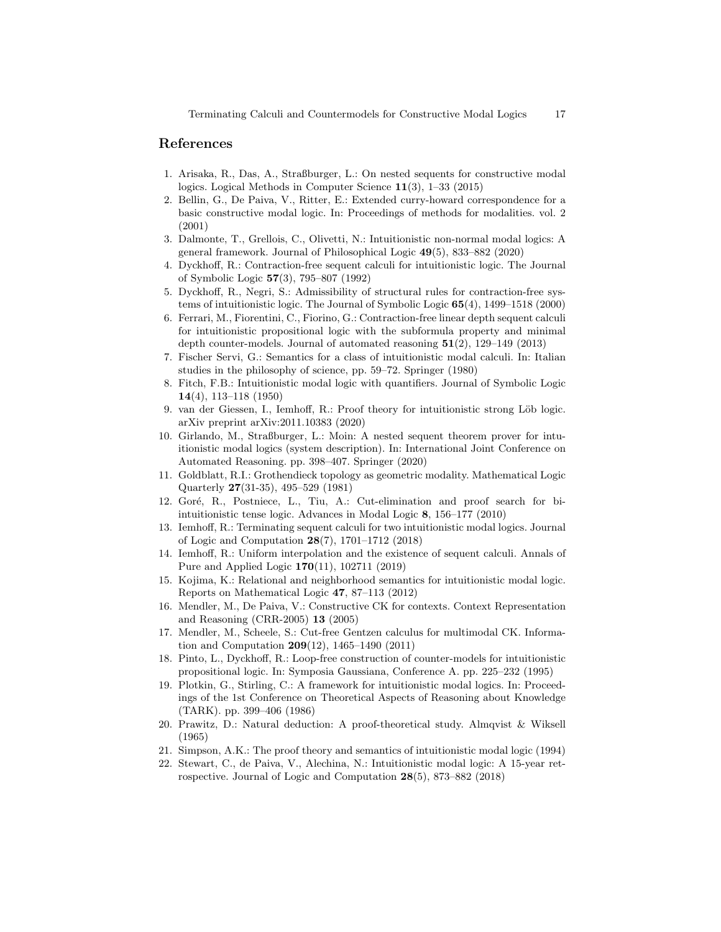## References

- 1. Arisaka, R., Das, A., Straßburger, L.: On nested sequents for constructive modal logics. Logical Methods in Computer Science 11(3), 1–33 (2015)
- 2. Bellin, G., De Paiva, V., Ritter, E.: Extended curry-howard correspondence for a basic constructive modal logic. In: Proceedings of methods for modalities. vol. 2 (2001)
- 3. Dalmonte, T., Grellois, C., Olivetti, N.: Intuitionistic non-normal modal logics: A general framework. Journal of Philosophical Logic 49(5), 833–882 (2020)
- 4. Dyckhoff, R.: Contraction-free sequent calculi for intuitionistic logic. The Journal of Symbolic Logic 57(3), 795–807 (1992)
- 5. Dyckhoff, R., Negri, S.: Admissibility of structural rules for contraction-free systems of intuitionistic logic. The Journal of Symbolic Logic 65(4), 1499–1518 (2000)
- 6. Ferrari, M., Fiorentini, C., Fiorino, G.: Contraction-free linear depth sequent calculi for intuitionistic propositional logic with the subformula property and minimal depth counter-models. Journal of automated reasoning 51(2), 129–149 (2013)
- 7. Fischer Servi, G.: Semantics for a class of intuitionistic modal calculi. In: Italian studies in the philosophy of science, pp. 59–72. Springer (1980)
- 8. Fitch, F.B.: Intuitionistic modal logic with quantifiers. Journal of Symbolic Logic 14(4), 113–118 (1950)
- 9. van der Giessen, I., Iemhoff, R.: Proof theory for intuitionistic strong Löb logic. arXiv preprint arXiv:2011.10383 (2020)
- 10. Girlando, M., Straßburger, L.: Moin: A nested sequent theorem prover for intuitionistic modal logics (system description). In: International Joint Conference on Automated Reasoning. pp. 398–407. Springer (2020)
- 11. Goldblatt, R.I.: Grothendieck topology as geometric modality. Mathematical Logic Quarterly 27(31-35), 495–529 (1981)
- 12. Goré, R., Postniece, L., Tiu, A.: Cut-elimination and proof search for biintuitionistic tense logic. Advances in Modal Logic 8, 156–177 (2010)
- 13. Iemhoff, R.: Terminating sequent calculi for two intuitionistic modal logics. Journal of Logic and Computation 28(7), 1701–1712 (2018)
- 14. Iemhoff, R.: Uniform interpolation and the existence of sequent calculi. Annals of Pure and Applied Logic 170(11), 102711 (2019)
- 15. Kojima, K.: Relational and neighborhood semantics for intuitionistic modal logic. Reports on Mathematical Logic 47, 87–113 (2012)
- 16. Mendler, M., De Paiva, V.: Constructive CK for contexts. Context Representation and Reasoning (CRR-2005) 13 (2005)
- 17. Mendler, M., Scheele, S.: Cut-free Gentzen calculus for multimodal CK. Information and Computation 209(12), 1465–1490 (2011)
- 18. Pinto, L., Dyckhoff, R.: Loop-free construction of counter-models for intuitionistic propositional logic. In: Symposia Gaussiana, Conference A. pp. 225–232 (1995)
- 19. Plotkin, G., Stirling, C.: A framework for intuitionistic modal logics. In: Proceedings of the 1st Conference on Theoretical Aspects of Reasoning about Knowledge (TARK). pp. 399–406 (1986)
- 20. Prawitz, D.: Natural deduction: A proof-theoretical study. Almqvist & Wiksell (1965)
- 21. Simpson, A.K.: The proof theory and semantics of intuitionistic modal logic (1994)
- 22. Stewart, C., de Paiva, V., Alechina, N.: Intuitionistic modal logic: A 15-year retrospective. Journal of Logic and Computation 28(5), 873–882 (2018)